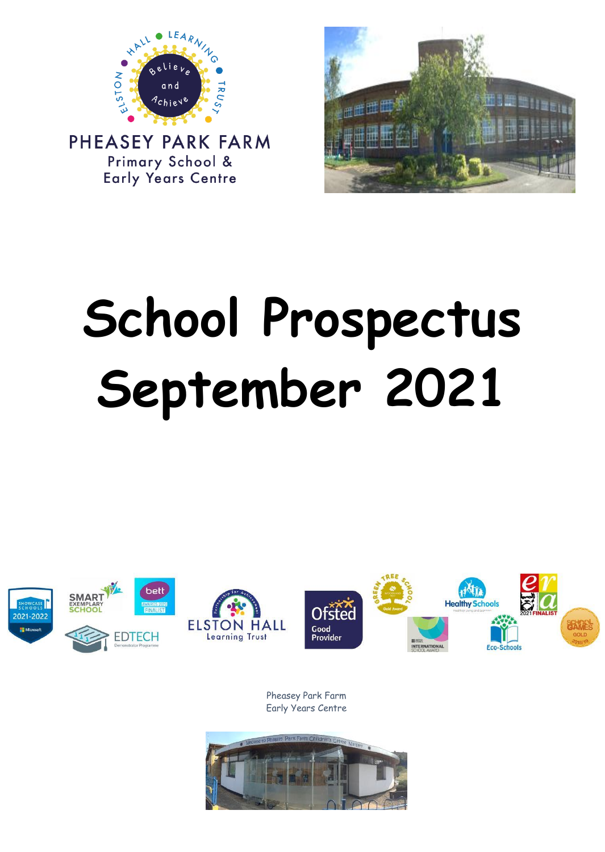

PHEASEY PARK FARM Primary School & **Early Years Centre** 



# **School Prospectus September 2021**



Pheasey Park Farm Early Years Centre

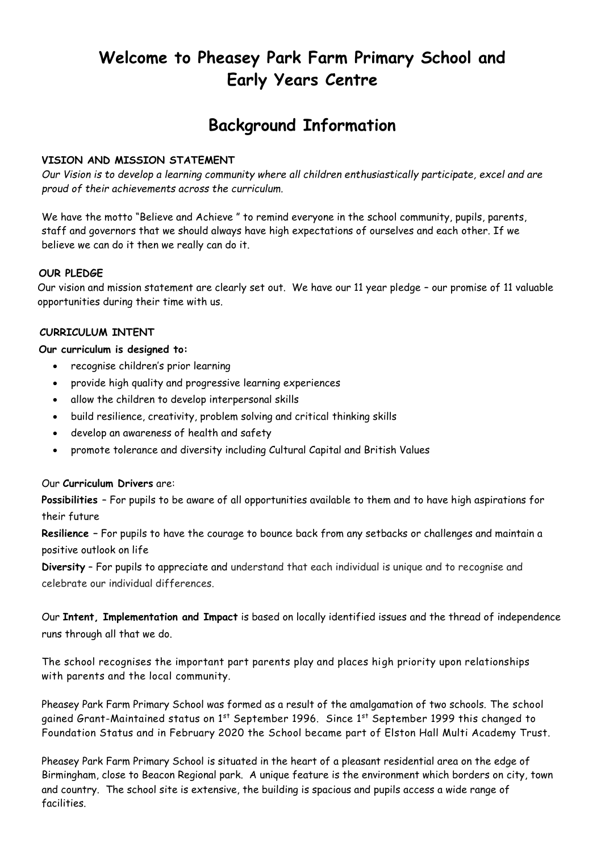# **Welcome to Pheasey Park Farm Primary School and Early Years Centre**

# **Background Information**

#### **VISION AND MISSION STATEMENT**

*Our Vision is to develop a learning community where all children enthusiastically participate, excel and are proud of their achievements across the curriculum.*

We have the motto "Believe and Achieve " to remind everyone in the school community, pupils, parents, staff and governors that we should always have high expectations of ourselves and each other. If we believe we can do it then we really can do it.

#### **OUR PLEDGE**

Our vision and mission statement are clearly set out. We have our 11 year pledge – our promise of 11 valuable opportunities during their time with us.

#### **CURRICULUM INTENT**

#### **Our curriculum is designed to:**

- recognise children's prior learning
- provide high quality and progressive learning experiences
- allow the children to develop interpersonal skills
- build resilience, creativity, problem solving and critical thinking skills
- develop an awareness of health and safety
- promote tolerance and diversity including Cultural Capital and British Values

Our **Curriculum Drivers** are:

**Possibilities** – For pupils to be aware of all opportunities available to them and to have high aspirations for their future

**Resilience –** For pupils to have the courage to bounce back from any setbacks or challenges and maintain a positive outlook on life

**Diversity** – For pupils to appreciate and understand that each individual is unique and to recognise and celebrate our individual differences.

Our **Intent, Implementation and Impact** is based on locally identified issues and the thread of independence runs through all that we do.

The school recognises the important part parents play and places high priority upon relationships with parents and the local community.

Pheasey Park Farm Primary School was formed as a result of the amalgamation of two schools. The school gained Grant-Maintained status on 1<sup>st</sup> September 1996. Since 1<sup>st</sup> September 1999 this changed to Foundation Status and in February 2020 the School became part of Elston Hall Multi Academy Trust.

Pheasey Park Farm Primary School is situated in the heart of a pleasant residential area on the edge of Birmingham, close to Beacon Regional park. A unique feature is the environment which borders on city, town and country. The school site is extensive, the building is spacious and pupils access a wide range of facilities.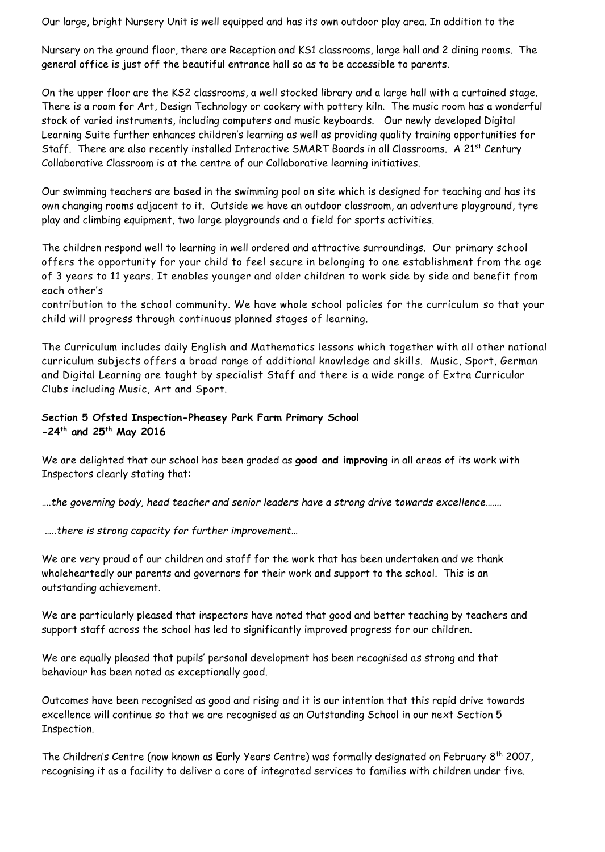Our large, bright Nursery Unit is well equipped and has its own outdoor play area. In addition to the

Nursery on the ground floor, there are Reception and KS1 classrooms, large hall and 2 dining rooms. The general office is just off the beautiful entrance hall so as to be accessible to parents.

On the upper floor are the KS2 classrooms, a well stocked library and a large hall with a curtained stage. There is a room for Art, Design Technology or cookery with pottery kiln. The music room has a wonderful stock of varied instruments, including computers and music keyboards. Our newly developed Digital Learning Suite further enhances children's learning as well as providing quality training opportunities for Staff. There are also recently installed Interactive SMART Boards in all Classrooms. A 21<sup>st</sup> Century Collaborative Classroom is at the centre of our Collaborative learning initiatives.

Our swimming teachers are based in the swimming pool on site which is designed for teaching and has its own changing rooms adjacent to it. Outside we have an outdoor classroom, an adventure playground, tyre play and climbing equipment, two large playgrounds and a field for sports activities.

The children respond well to learning in well ordered and attractive surroundings. Our primary school offers the opportunity for your child to feel secure in belonging to one establishment from the age of 3 years to 11 years. It enables younger and older children to work side by side and benefit from each other's

contribution to the school community. We have whole school policies for the curriculum so that your child will progress through continuous planned stages of learning.

The Curriculum includes daily English and Mathematics lessons which together with all other national curriculum subjects offers a broad range of additional knowledge and skill s. Music, Sport, German and Digital Learning are taught by specialist Staff and there is a wide range of Extra Curricular Clubs including Music, Art and Sport.

#### **Section 5 Ofsted Inspection-Pheasey Park Farm Primary School -24th and 25th May 2016**

We are delighted that our school has been graded as **good and improving** in all areas of its work with Inspectors clearly stating that:

*….the governing body, head teacher and senior leaders have a strong drive towards excellence…….*

*…..there is strong capacity for further improvement…*

We are very proud of our children and staff for the work that has been undertaken and we thank wholeheartedly our parents and governors for their work and support to the school. This is an outstanding achievement.

We are particularly pleased that inspectors have noted that good and better teaching by teachers and support staff across the school has led to significantly improved progress for our children.

We are equally pleased that pupils' personal development has been recognised as strong and that behaviour has been noted as exceptionally good.

Outcomes have been recognised as good and rising and it is our intention that this rapid drive towards excellence will continue so that we are recognised as an Outstanding School in our next Section 5 Inspection.

The Children's Centre (now known as Early Years Centre) was formally designated on February 8<sup>th</sup> 2007, recognising it as a facility to deliver a core of integrated services to families with children under five.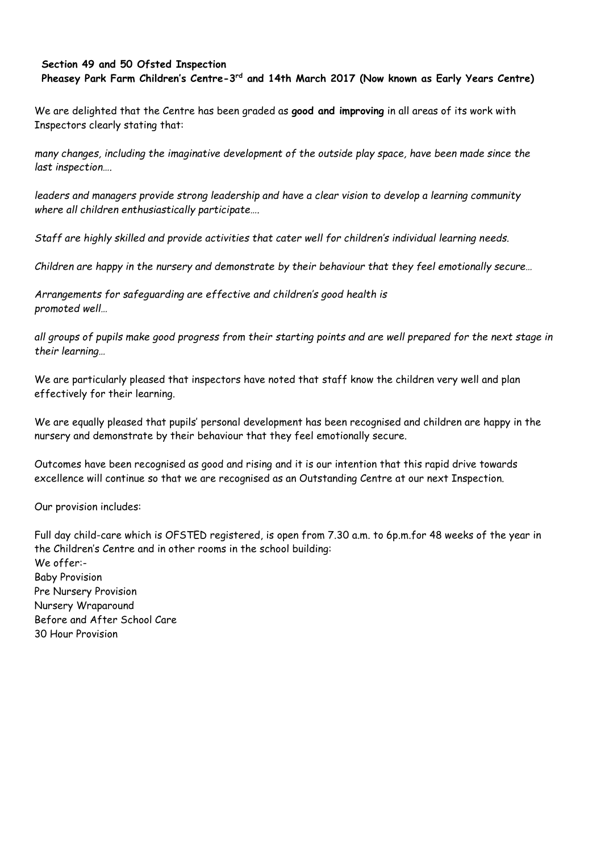#### **Section 49 and 50 Ofsted Inspection**

**Pheasey Park Farm Children's Centre-3 rd and 14th March 2017 (Now known as Early Years Centre)**

We are delighted that the Centre has been graded as **good and improving** in all areas of its work with Inspectors clearly stating that:

*many changes, including the imaginative development of the outside play space, have been made since the last inspection….*

*leaders and managers provide strong leadership and have a clear vision to develop a learning community where all children enthusiastically participate….*

*Staff are highly skilled and provide activities that cater well for children's individual learning needs.* 

*Children are happy in the nursery and demonstrate by their behaviour that they feel emotionally secure…*

*Arrangements for safeguarding are effective and children's good health is promoted well…*

*all groups of pupils make good progress from their starting points and are well prepared for the next stage in their learning…*

We are particularly pleased that inspectors have noted that staff know the children very well and plan effectively for their learning.

We are equally pleased that pupils' personal development has been recognised and children are happy in the nursery and demonstrate by their behaviour that they feel emotionally secure.

Outcomes have been recognised as good and rising and it is our intention that this rapid drive towards excellence will continue so that we are recognised as an Outstanding Centre at our next Inspection.

Our provision includes:

Full day child-care which is OFSTED registered, is open from 7.30 a.m. to 6p.m.for 48 weeks of the year in the Children's Centre and in other rooms in the school building: We offer:- Baby Provision Pre Nursery Provision Nursery Wraparound Before and After School Care 30 Hour Provision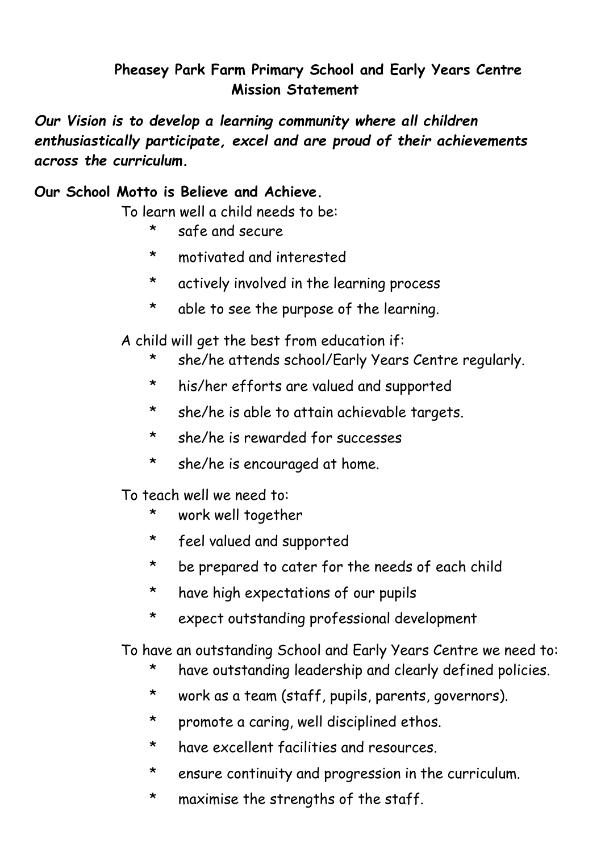# **Pheasey Park Farm Primary School and Early Years Centre Mission Statement**

*Our Vision is to develop a learning community where all children enthusiastically participate, excel and are proud of their achievements across the curriculum.*

#### **Our School Motto is Believe and Achieve.**

To learn well a child needs to be:

- \* safe and secure
- \* motivated and interested
- \* actively involved in the learning process
- \* able to see the purpose of the learning.

A child will get the best from education if:

- \* she/he attends school/Early Years Centre regularly.
- \* his/her efforts are valued and supported
- \* she/he is able to attain achievable targets.
- \* she/he is rewarded for successes
- \* she/he is encouraged at home.

To teach well we need to:

- \* work well together
- \* feel valued and supported
- \* be prepared to cater for the needs of each child
- \* have high expectations of our pupils
- \* expect outstanding professional development

To have an outstanding School and Early Years Centre we need to:

- \* have outstanding leadership and clearly defined policies.
- \* work as a team (staff, pupils, parents, governors).
- \* promote a caring, well disciplined ethos.
- \* have excellent facilities and resources.
- \* ensure continuity and progression in the curriculum.
- \* maximise the strengths of the staff.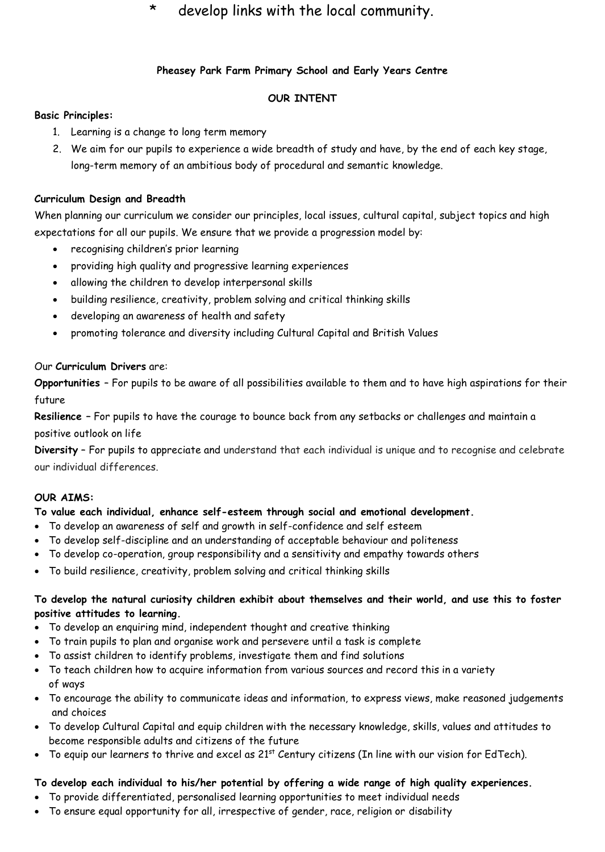#### \* develop links with the local community.

#### **Pheasey Park Farm Primary School and Early Years Centre**

#### **OUR INTENT**

#### **Basic Principles:**

- 1. Learning is a change to long term memory
- 2. We aim for our pupils to experience a wide breadth of study and have, by the end of each key stage, long-term memory of an ambitious body of procedural and semantic knowledge.

#### **Curriculum Design and Breadth**

When planning our curriculum we consider our principles, local issues, cultural capital, subject topics and high expectations for all our pupils. We ensure that we provide a progression model by:

- recognising children's prior learning
- providing high quality and progressive learning experiences
- allowing the children to develop interpersonal skills
- building resilience, creativity, problem solving and critical thinking skills
- developing an awareness of health and safety
- promoting tolerance and diversity including Cultural Capital and British Values

#### Our **Curriculum Drivers** are:

**Opportunities** – For pupils to be aware of all possibilities available to them and to have high aspirations for their future

**Resilience –** For pupils to have the courage to bounce back from any setbacks or challenges and maintain a positive outlook on life

**Diversity** – For pupils to appreciate and understand that each individual is unique and to recognise and celebrate our individual differences.

#### **OUR AIMS:**

#### **To value each individual, enhance self-esteem through social and emotional development.**

- To develop an awareness of self and growth in self-confidence and self esteem
- To develop self-discipline and an understanding of acceptable behaviour and politeness
- To develop co-operation, group responsibility and a sensitivity and empathy towards others
- To build resilience, creativity, problem solving and critical thinking skills

#### **To develop the natural curiosity children exhibit about themselves and their world, and use this to foster positive attitudes to learning.**

- To develop an enquiring mind, independent thought and creative thinking
- To train pupils to plan and organise work and persevere until a task is complete
- To assist children to identify problems, investigate them and find solutions
- To teach children how to acquire information from various sources and record this in a variety of ways
- To encourage the ability to communicate ideas and information, to express views, make reasoned judgements and choices
- To develop Cultural Capital and equip children with the necessary knowledge, skills, values and attitudes to become responsible adults and citizens of the future
- To equip our learners to thrive and excel as 21<sup>st</sup> Century citizens (In line with our vision for EdTech).

#### **To develop each individual to his/her potential by offering a wide range of high quality experiences.**

- To provide differentiated, personalised learning opportunities to meet individual needs
- To ensure equal opportunity for all, irrespective of gender, race, religion or disability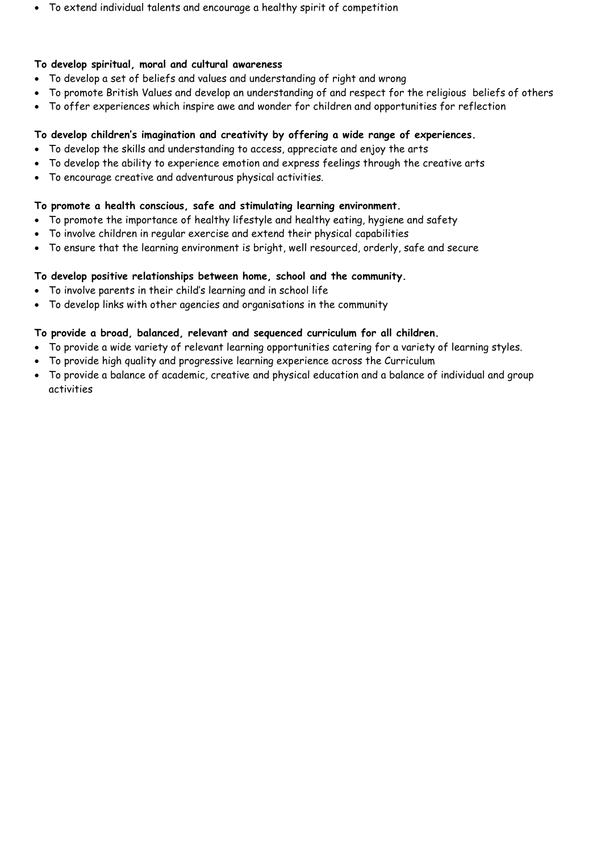• To extend individual talents and encourage a healthy spirit of competition

#### **To develop spiritual, moral and cultural awareness**

- To develop a set of beliefs and values and understanding of right and wrong
- To promote British Values and develop an understanding of and respect for the religious beliefs of others
- To offer experiences which inspire awe and wonder for children and opportunities for reflection

#### **To develop children's imagination and creativity by offering a wide range of experiences.**

- To develop the skills and understanding to access, appreciate and enjoy the arts
- To develop the ability to experience emotion and express feelings through the creative arts
- To encourage creative and adventurous physical activities.

#### **To promote a health conscious, safe and stimulating learning environment.**

- To promote the importance of healthy lifestyle and healthy eating, hygiene and safety
- To involve children in regular exercise and extend their physical capabilities
- To ensure that the learning environment is bright, well resourced, orderly, safe and secure

#### **To develop positive relationships between home, school and the community.**

- To involve parents in their child's learning and in school life
- To develop links with other agencies and organisations in the community

#### **To provide a broad, balanced, relevant and sequenced curriculum for all children.**

- To provide a wide variety of relevant learning opportunities catering for a variety of learning styles.
- To provide high quality and progressive learning experience across the Curriculum
- To provide a balance of academic, creative and physical education and a balance of individual and group activities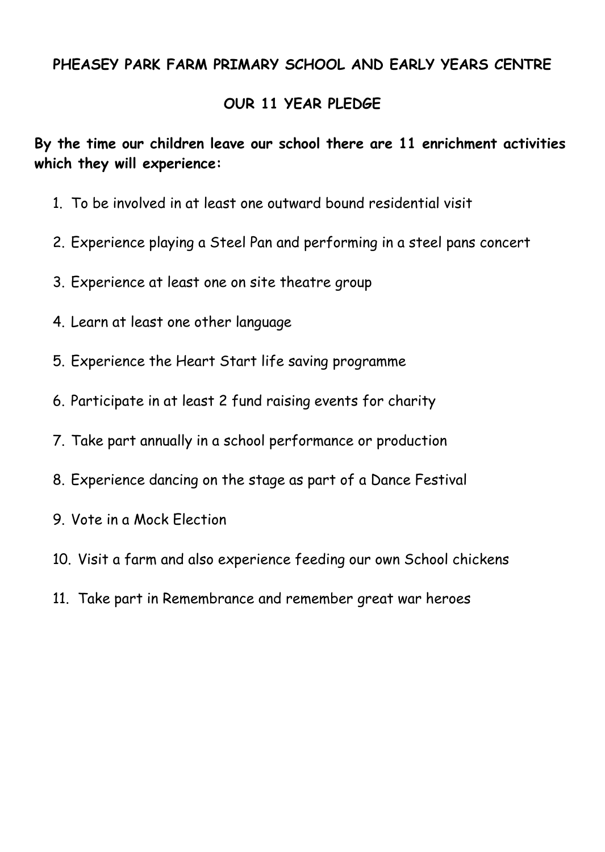#### **PHEASEY PARK FARM PRIMARY SCHOOL AND EARLY YEARS CENTRE**

#### **OUR 11 YEAR PLEDGE**

**By the time our children leave our school there are 11 enrichment activities which they will experience:**

- 1. To be involved in at least one outward bound residential visit
- 2. Experience playing a Steel Pan and performing in a steel pans concert
- 3. Experience at least one on site theatre group
- 4. Learn at least one other language
- 5. Experience the Heart Start life saving programme
- 6. Participate in at least 2 fund raising events for charity
- 7. Take part annually in a school performance or production
- 8. Experience dancing on the stage as part of a Dance Festival
- 9. Vote in a Mock Election
- 10. Visit a farm and also experience feeding our own School chickens
- 11. Take part in Remembrance and remember great war heroes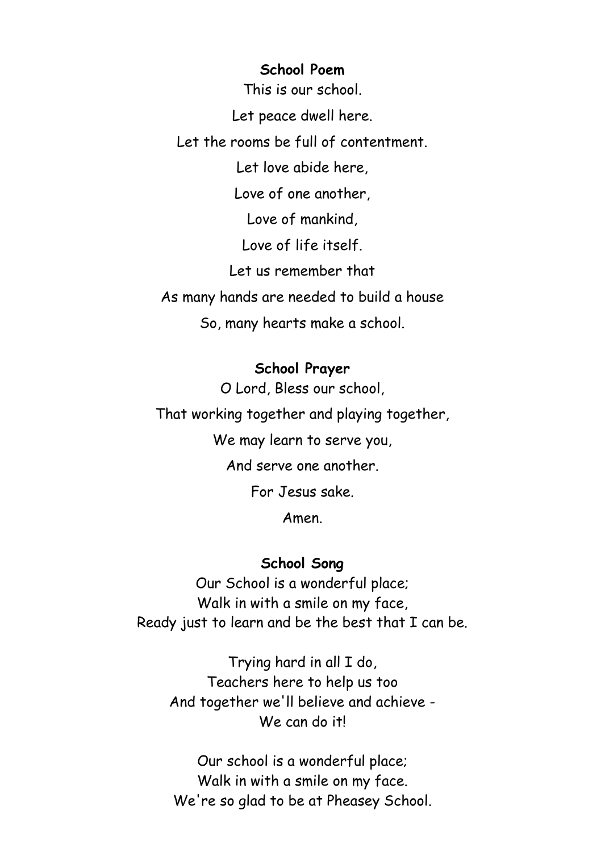#### **School Poem**

This is our school.

Let peace dwell here.

Let the rooms be full of contentment.

Let love abide here,

Love of one another,

Love of mankind,

Love of life itself.

Let us remember that

As many hands are needed to build a house

So, many hearts make a school.

#### **School Prayer**

O Lord, Bless our school, That working together and playing together, We may learn to serve you, And serve one another. For Jesus sake. Amen.

#### **School Song**

Our School is a wonderful place; Walk in with a smile on my face, Ready just to learn and be the best that I can be.

Trying hard in all I do, Teachers here to help us too And together we'll believe and achieve - We can do it!

Our school is a wonderful place; Walk in with a smile on my face. We're so glad to be at Pheasey School.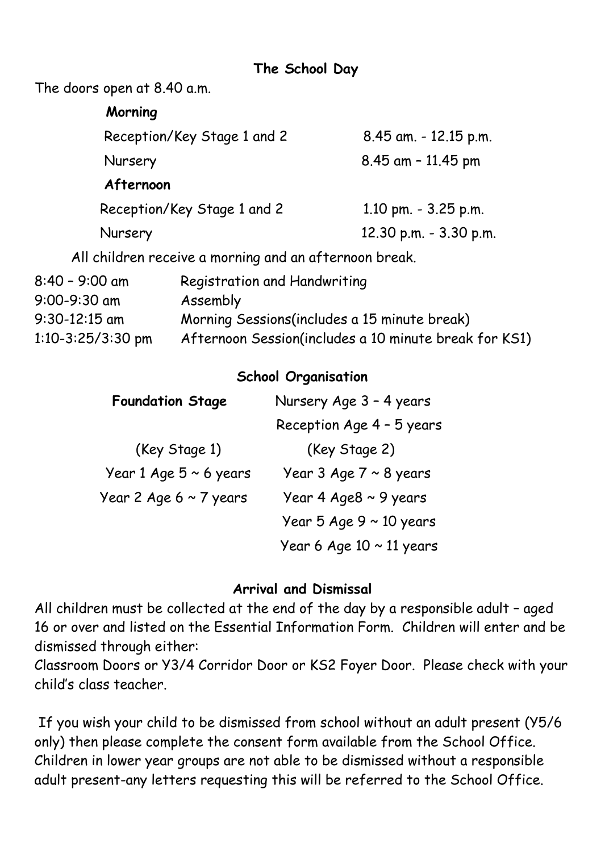**The School Day**

The doors open at 8.40 a.m.

| Morning             |                                                        |                        |
|---------------------|--------------------------------------------------------|------------------------|
|                     | Reception/Key Stage 1 and 2                            | 8.45 am. - 12.15 p.m.  |
| Nursery             |                                                        | $8.45$ am $-11.45$ pm  |
| Afternoon           |                                                        |                        |
|                     | Reception/Key Stage 1 and 2                            | 1.10 pm. $-3.25$ p.m.  |
| Nursery             |                                                        | 12.30 p.m. - 3.30 p.m. |
|                     | All children receive a morning and an afternoon break. |                        |
| $8:40 - 9:00$ am    | Registration and Handwriting                           |                        |
| 9:00-9:30 am        | Assembly                                               |                        |
| $9:30-12:15$ am     | Morning Sessions(includes a 15 minute break)           |                        |
| $1:10-3:25/3:30$ pm | Afternoon Session(includes a 10 minute break for KS1)  |                        |

#### **School Organisation**

| <b>Foundation Stage</b>     | Nursery Age 3 - 4 years       |  |
|-----------------------------|-------------------------------|--|
|                             | Reception Age 4 - 5 years     |  |
| (Key Stage 1)               | (Key Stage 2)                 |  |
| Year 1 Age $5 \sim 6$ years | Year 3 Age $7 \sim 8$ years   |  |
| Year 2 Age $6 \sim 7$ years | Year 4 Age8 $\sim$ 9 years    |  |
|                             | Year 5 Age $9 \sim 10$ years  |  |
|                             | Year 6 Age $10 \sim 11$ years |  |

#### **Arrival and Dismissal**

All children must be collected at the end of the day by a responsible adult – aged 16 or over and listed on the Essential Information Form. Children will enter and be dismissed through either:

Classroom Doors or Y3/4 Corridor Door or KS2 Foyer Door. Please check with your child's class teacher.

If you wish your child to be dismissed from school without an adult present (Y5/6 only) then please complete the consent form available from the School Office. Children in lower year groups are not able to be dismissed without a responsible adult present-any letters requesting this will be referred to the School Office.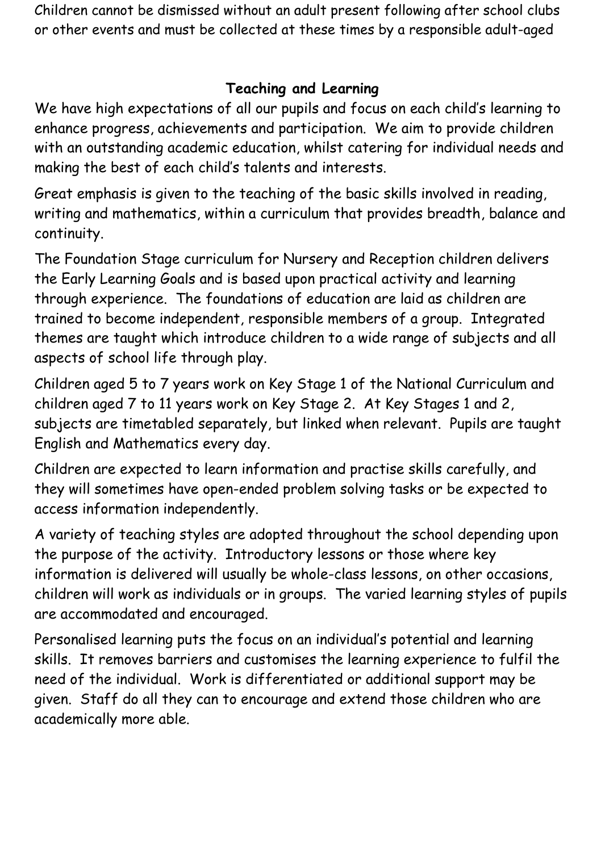Children cannot be dismissed without an adult present following after school clubs or other events and must be collected at these times by a responsible adult-aged

# **Teaching and Learning**

We have high expectations of all our pupils and focus on each child's learning to enhance progress, achievements and participation. We aim to provide children with an outstanding academic education, whilst catering for individual needs and making the best of each child's talents and interests.

Great emphasis is given to the teaching of the basic skills involved in reading, writing and mathematics, within a curriculum that provides breadth, balance and continuity.

The Foundation Stage curriculum for Nursery and Reception children delivers the Early Learning Goals and is based upon practical activity and learning through experience. The foundations of education are laid as children are trained to become independent, responsible members of a group. Integrated themes are taught which introduce children to a wide range of subjects and all aspects of school life through play.

Children aged 5 to 7 years work on Key Stage 1 of the National Curriculum and children aged 7 to 11 years work on Key Stage 2. At Key Stages 1 and 2, subjects are timetabled separately, but linked when relevant. Pupils are taught English and Mathematics every day.

Children are expected to learn information and practise skills carefully, and they will sometimes have open-ended problem solving tasks or be expected to access information independently.

A variety of teaching styles are adopted throughout the school depending upon the purpose of the activity. Introductory lessons or those where key information is delivered will usually be whole-class lessons, on other occasions, children will work as individuals or in groups. The varied learning styles of pupils are accommodated and encouraged.

Personalised learning puts the focus on an individual's potential and learning skills. It removes barriers and customises the learning experience to fulfil the need of the individual. Work is differentiated or additional support may be given. Staff do all they can to encourage and extend those children who are academically more able.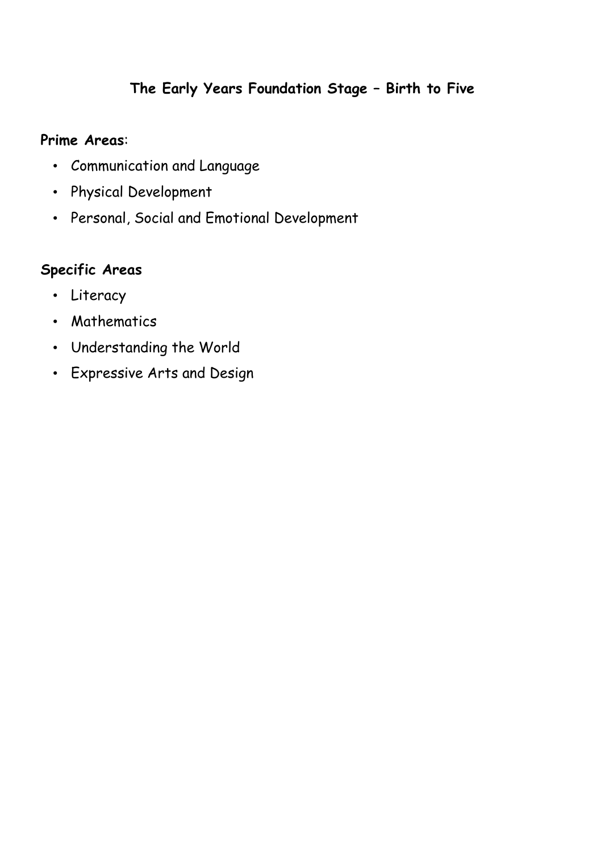# **The Early Years Foundation Stage – Birth to Five**

#### **Prime Areas**:

- Communication and Language
- Physical Development
- Personal, Social and Emotional Development

## **Specific Areas**

- Literacy
- Mathematics
- Understanding the World
- Expressive Arts and Design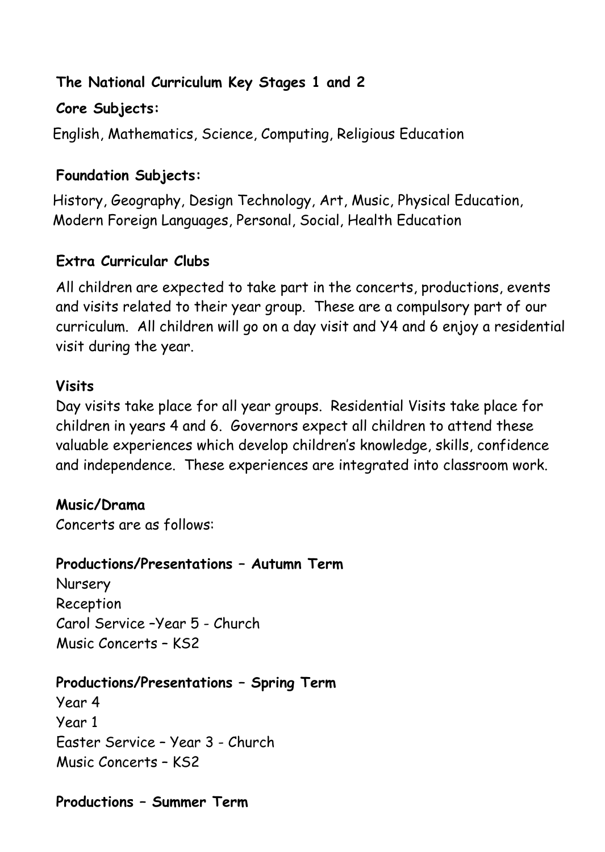## **The National Curriculum Key Stages 1 and 2**

## **Core Subjects:**

English, Mathematics, Science, Computing, Religious Education

# **Foundation Subjects:**

History, Geography, Design Technology, Art, Music, Physical Education, Modern Foreign Languages, Personal, Social, Health Education

# **Extra Curricular Clubs**

All children are expected to take part in the concerts, productions, events and visits related to their year group. These are a compulsory part of our curriculum. All children will go on a day visit and Y4 and 6 enjoy a residential visit during the year.

#### **Visits**

Day visits take place for all year groups. Residential Visits take place for children in years 4 and 6. Governors expect all children to attend these valuable experiences which develop children's knowledge, skills, confidence and independence. These experiences are integrated into classroom work.

## **Music/Drama**

Concerts are as follows:

## **Productions/Presentations – Autumn Term**

**Nursery** Reception Carol Service –Year 5 - Church Music Concerts – KS2

## **Productions/Presentations – Spring Term**

Year 4 Year 1 Easter Service – Year 3 - Church Music Concerts – KS2

## **Productions – Summer Term**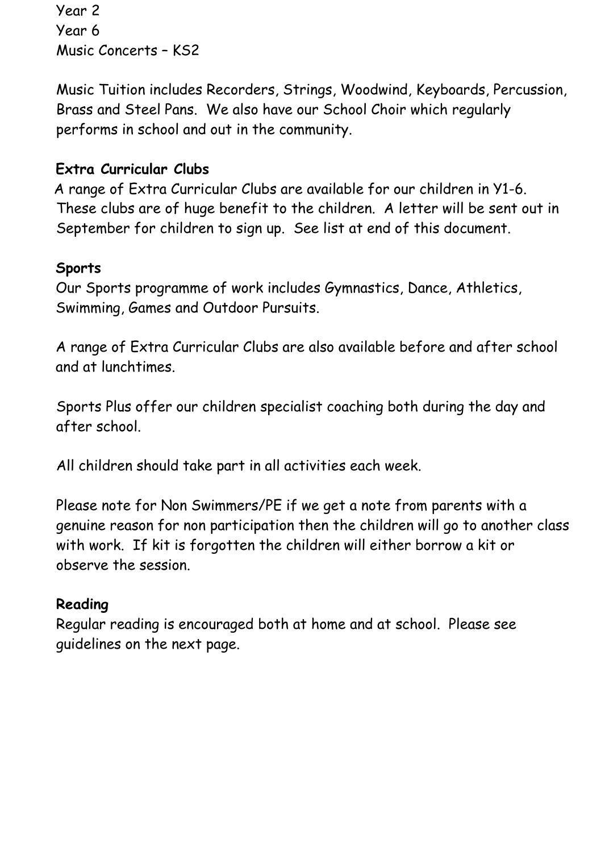Year 2 Year 6 Music Concerts – KS2

Music Tuition includes Recorders, Strings, Woodwind, Keyboards, Percussion, Brass and Steel Pans. We also have our School Choir which regularly performs in school and out in the community.

#### **Extra Curricular Clubs**

 A range of Extra Curricular Clubs are available for our children in Y1-6. These clubs are of huge benefit to the children. A letter will be sent out in September for children to sign up. See list at end of this document.

#### **Sports**

 Our Sports programme of work includes Gymnastics, Dance, Athletics, Swimming, Games and Outdoor Pursuits.

 A range of Extra Curricular Clubs are also available before and after school and at lunchtimes.

Sports Plus offer our children specialist coaching both during the day and after school.

All children should take part in all activities each week.

Please note for Non Swimmers/PE if we get a note from parents with a genuine reason for non participation then the children will go to another class with work. If kit is forgotten the children will either borrow a kit or observe the session.

#### **Reading**

Regular reading is encouraged both at home and at school. Please see guidelines on the next page.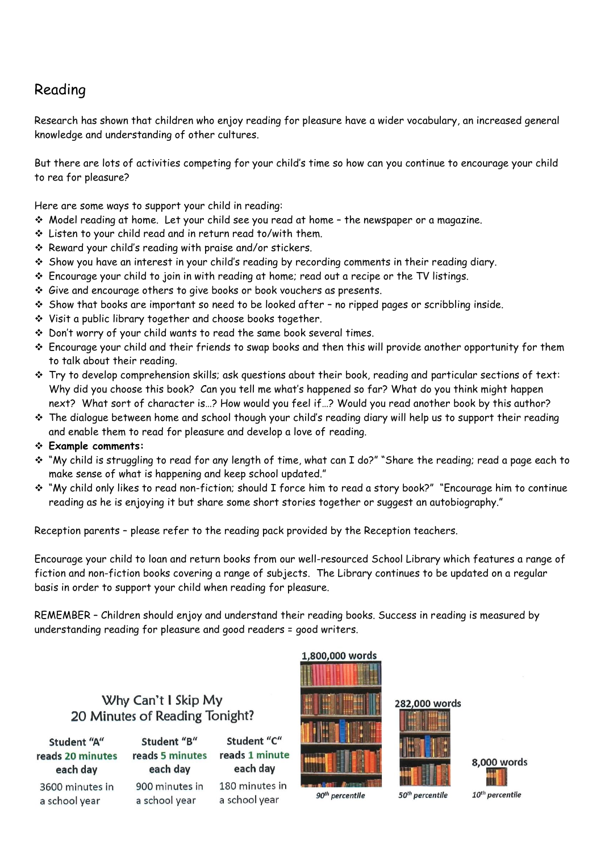## Reading

Research has shown that children who enjoy reading for pleasure have a wider vocabulary, an increased general knowledge and understanding of other cultures.

But there are lots of activities competing for your child's time so how can you continue to encourage your child to rea for pleasure?

Here are some ways to support your child in reading:

- ❖ Model reading at home. Let your child see you read at home the newspaper or a magazine.
- ❖ Listen to your child read and in return read to/with them.
- ❖ Reward your child's reading with praise and/or stickers.
- ❖ Show you have an interest in your child's reading by recording comments in their reading diary.
- ❖ Encourage your child to join in with reading at home; read out a recipe or the TV listings.
- ❖ Give and encourage others to give books or book vouchers as presents.
- ❖ Show that books are important so need to be looked after no ripped pages or scribbling inside.
- ❖ Visit a public library together and choose books together.
- ❖ Don't worry of your child wants to read the same book several times.
- ❖ Encourage your child and their friends to swap books and then this will provide another opportunity for them to talk about their reading.
- ❖ Try to develop comprehension skills; ask questions about their book, reading and particular sections of text: Why did you choose this book? Can you tell me what's happened so far? What do you think might happen next? What sort of character is…? How would you feel if…? Would you read another book by this author?
- ❖ The dialogue between home and school though your child's reading diary will help us to support their reading and enable them to read for pleasure and develop a love of reading.
- ❖ **Example comments:**
- ❖ "My child is struggling to read for any length of time, what can I do?" "Share the reading; read a page each to make sense of what is happening and keep school updated."
- ❖ "My child only likes to read non-fiction; should I force him to read a story book?" "Encourage him to continue reading as he is enjoying it but share some short stories together or suggest an autobiography."

Reception parents – please refer to the reading pack provided by the Reception teachers.

Encourage your child to loan and return books from our well-resourced School Library which features a range of fiction and non-fiction books covering a range of subjects. The Library continues to be updated on a regular basis in order to support your child when reading for pleasure.

REMEMBER – Children should enjoy and understand their reading books. Success in reading is measured by understanding reading for pleasure and good readers = good writers.

#### Why Can't I Skip My 20 Minutes of Reading Tonight?

Student "A" reads 20 minutes each day 3600 minutes in a school year

Student "B" reads 5 minutes each day 900 minutes in a school year

Student "C" reads 1 minute each day 180 minutes in

a school year



1,800,000 words



50<sup>th</sup> percentile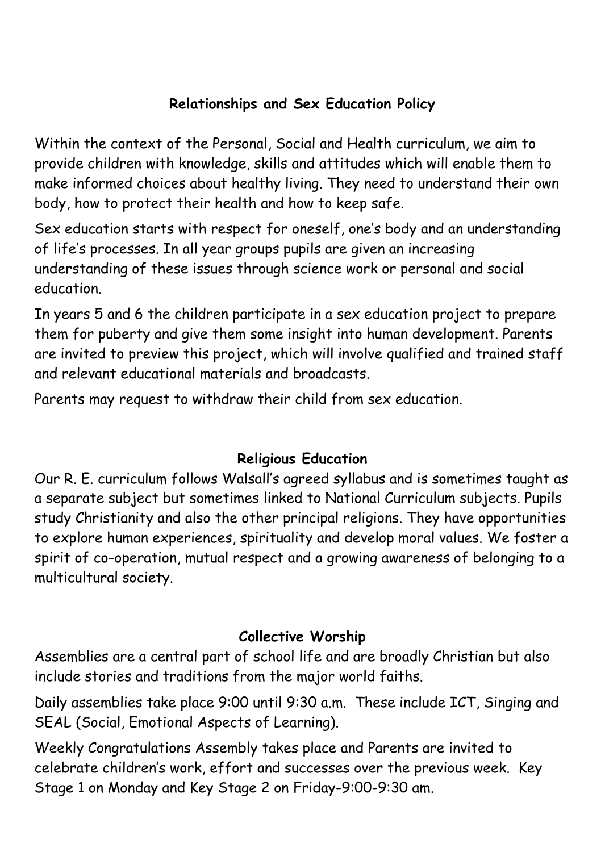# **Relationships and Sex Education Policy**

Within the context of the Personal, Social and Health curriculum, we aim to provide children with knowledge, skills and attitudes which will enable them to make informed choices about healthy living. They need to understand their own body, how to protect their health and how to keep safe.

Sex education starts with respect for oneself, one's body and an understanding of life's processes. In all year groups pupils are given an increasing understanding of these issues through science work or personal and social education.

In years 5 and 6 the children participate in a sex education project to prepare them for puberty and give them some insight into human development. Parents are invited to preview this project, which will involve qualified and trained staff and relevant educational materials and broadcasts.

Parents may request to withdraw their child from sex education.

# **Religious Education**

Our R. E. curriculum follows Walsall's agreed syllabus and is sometimes taught as a separate subject but sometimes linked to National Curriculum subjects. Pupils study Christianity and also the other principal religions. They have opportunities to explore human experiences, spirituality and develop moral values. We foster a spirit of co-operation, mutual respect and a growing awareness of belonging to a multicultural society.

# **Collective Worship**

Assemblies are a central part of school life and are broadly Christian but also include stories and traditions from the major world faiths.

Daily assemblies take place 9:00 until 9:30 a.m. These include ICT, Singing and SEAL (Social, Emotional Aspects of Learning).

Weekly Congratulations Assembly takes place and Parents are invited to celebrate children's work, effort and successes over the previous week. Key Stage 1 on Monday and Key Stage 2 on Friday-9:00-9:30 am.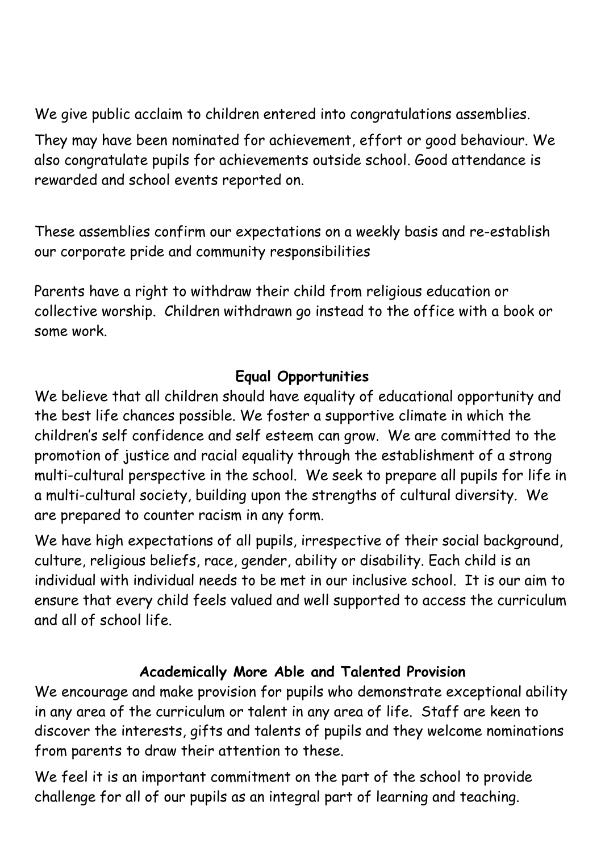We give public acclaim to children entered into congratulations assemblies.

They may have been nominated for achievement, effort or good behaviour. We also congratulate pupils for achievements outside school. Good attendance is rewarded and school events reported on.

These assemblies confirm our expectations on a weekly basis and re-establish our corporate pride and community responsibilities

Parents have a right to withdraw their child from religious education or collective worship. Children withdrawn go instead to the office with a book or some work.

# **Equal Opportunities**

We believe that all children should have equality of educational opportunity and the best life chances possible. We foster a supportive climate in which the children's self confidence and self esteem can grow. We are committed to the promotion of justice and racial equality through the establishment of a strong multi-cultural perspective in the school. We seek to prepare all pupils for life in a multi-cultural society, building upon the strengths of cultural diversity. We are prepared to counter racism in any form.

We have high expectations of all pupils, irrespective of their social background, culture, religious beliefs, race, gender, ability or disability. Each child is an individual with individual needs to be met in our inclusive school. It is our aim to ensure that every child feels valued and well supported to access the curriculum and all of school life.

# **Academically More Able and Talented Provision**

We encourage and make provision for pupils who demonstrate exceptional ability in any area of the curriculum or talent in any area of life. Staff are keen to discover the interests, gifts and talents of pupils and they welcome nominations from parents to draw their attention to these.

We feel it is an important commitment on the part of the school to provide challenge for all of our pupils as an integral part of learning and teaching.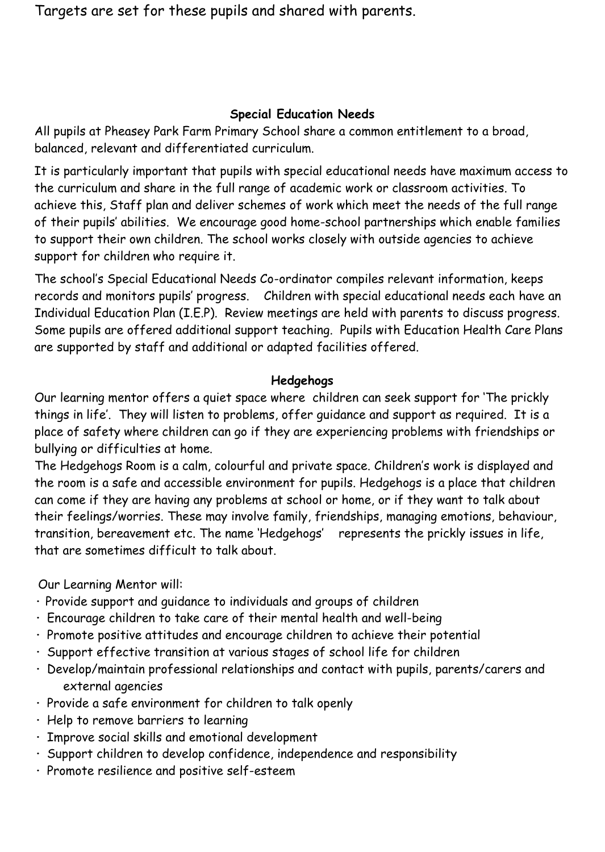Targets are set for these pupils and shared with parents.

#### **Special Education Needs**

All pupils at Pheasey Park Farm Primary School share a common entitlement to a broad, balanced, relevant and differentiated curriculum.

It is particularly important that pupils with special educational needs have maximum access to the curriculum and share in the full range of academic work or classroom activities. To achieve this, Staff plan and deliver schemes of work which meet the needs of the full range of their pupils' abilities. We encourage good home-school partnerships which enable families to support their own children. The school works closely with outside agencies to achieve support for children who require it.

The school's Special Educational Needs Co-ordinator compiles relevant information, keeps records and monitors pupils' progress. Children with special educational needs each have an Individual Education Plan (I.E.P). Review meetings are held with parents to discuss progress. Some pupils are offered additional support teaching. Pupils with Education Health Care Plans are supported by staff and additional or adapted facilities offered.

#### **Hedgehogs**

Our learning mentor offers a quiet space where children can seek support for 'The prickly things in life'. They will listen to problems, offer guidance and support as required. It is a place of safety where children can go if they are experiencing problems with friendships or bullying or difficulties at home.

The Hedgehogs Room is a calm, colourful and private space. Children's work is displayed and the room is a safe and accessible environment for pupils. Hedgehogs is a place that children can come if they are having any problems at school or home, or if they want to talk about their feelings/worries. These may involve family, friendships, managing emotions, behaviour, transition, bereavement etc. The name 'Hedgehogs' represents the prickly issues in life, that are sometimes difficult to talk about.

Our Learning Mentor will:

- **·** Provide support and guidance to individuals and groups of children
- **·** Encourage children to take care of their mental health and well-being
- **·** Promote positive attitudes and encourage children to achieve their potential
- **·** Support effective transition at various stages of school life for children
- **·** Develop/maintain professional relationships and contact with pupils, parents/carers and external agencies
- **·** Provide a safe environment for children to talk openly
- **·** Help to remove barriers to learning
- **·** Improve social skills and emotional development
- **·** Support children to develop confidence, independence and responsibility
- **·** Promote resilience and positive self-esteem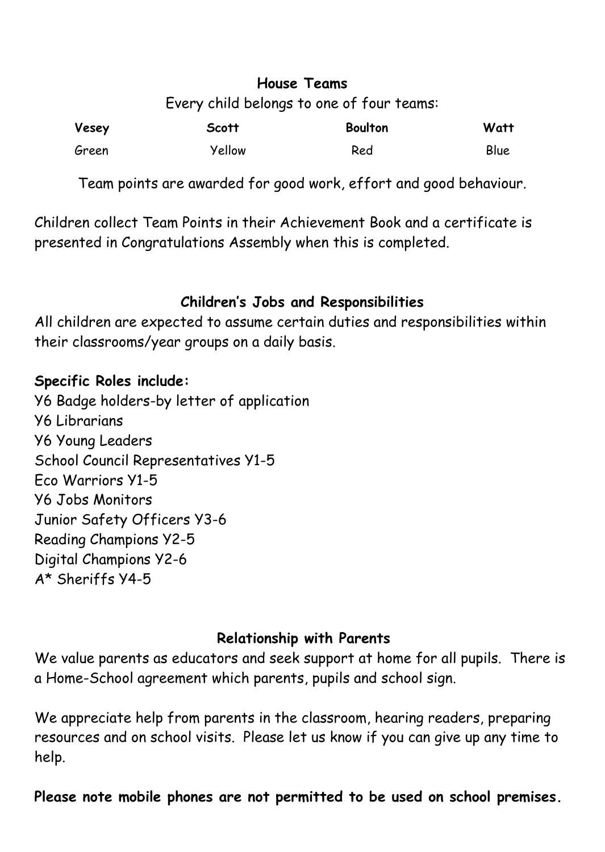#### **House Teams** Every child belongs to one of four teams:

| Vesey | <b>Scott</b> | <b>Boulton</b> | Watt |
|-------|--------------|----------------|------|
| Green | Yellow       | Red            | Blue |

Team points are awarded for good work, effort and good behaviour.

Children collect Team Points in their Achievement Book and a certificate is presented in Congratulations Assembly when this is completed.

# **Children's Jobs and Responsibilities**

All children are expected to assume certain duties and responsibilities within their classrooms/year groups on a daily basis.

## **Specific Roles include:**

Y6 Badge holders-by letter of application Y6 Librarians Y6 Young Leaders School Council Representatives Y1-5 Eco Warriors Y1-5 Y6 Jobs Monitors Junior Safety Officers Y3-6 Reading Champions Y2-5 Digital Champions Y2-6 A\* Sheriffs Y4-5

## **Relationship with Parents**

We value parents as educators and seek support at home for all pupils. There is a Home-School agreement which parents, pupils and school sign.

We appreciate help from parents in the classroom, hearing readers, preparing resources and on school visits. Please let us know if you can give up any time to help.

**Please note mobile phones are not permitted to be used on school premises.**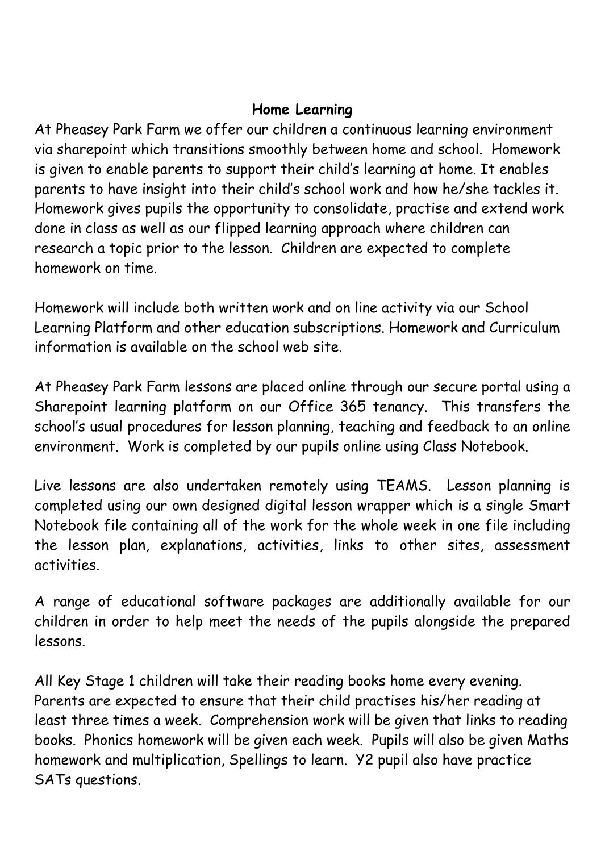#### **Home Learning**

At Pheasey Park Farm we offer our children a continuous learning environment via sharepoint which transitions smoothly between home and school. Homework is given to enable parents to support their child's learning at home. It enables parents to have insight into their child's school work and how he/she tackles it. Homework gives pupils the opportunity to consolidate, practise and extend work done in class as well as our flipped learning approach where children can research a topic prior to the lesson. Children are expected to complete homework on time.

Homework will include both written work and on line activity via our School Learning Platform and other education subscriptions. Homework and Curriculum information is available on the school web site.

At Pheasey Park Farm lessons are placed online through our secure portal using a Sharepoint learning platform on our Office 365 tenancy. This transfers the school's usual procedures for lesson planning, teaching and feedback to an online environment. Work is completed by our pupils online using Class Notebook.

Live lessons are also undertaken remotely using TEAMS. Lesson planning is completed using our own designed digital lesson wrapper which is a single Smart Notebook file containing all of the work for the whole week in one file including the lesson plan, explanations, activities, links to other sites, assessment activities.

A range of educational software packages are additionally available for our children in order to help meet the needs of the pupils alongside the prepared lessons.

All Key Stage 1 children will take their reading books home every evening. Parents are expected to ensure that their child practises his/her reading at least three times a week. Comprehension work will be given that links to reading books. Phonics homework will be given each week. Pupils will also be given Maths homework and multiplication, Spellings to learn. Y2 pupil also have practice SATs questions.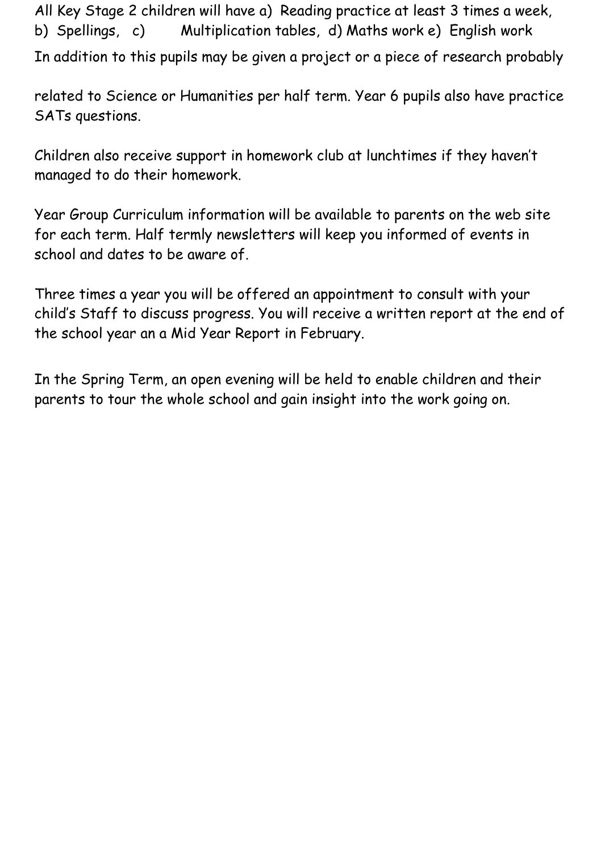All Key Stage 2 children will have a) Reading practice at least 3 times a week, b) Spellings, c) Multiplication tables, d) Maths work e) English work In addition to this pupils may be given a project or a piece of research probably

related to Science or Humanities per half term. Year 6 pupils also have practice SATs questions.

Children also receive support in homework club at lunchtimes if they haven't managed to do their homework.

Year Group Curriculum information will be available to parents on the web site for each term. Half termly newsletters will keep you informed of events in school and dates to be aware of.

Three times a year you will be offered an appointment to consult with your child's Staff to discuss progress. You will receive a written report at the end of the school year an a Mid Year Report in February.

In the Spring Term, an open evening will be held to enable children and their parents to tour the whole school and gain insight into the work going on.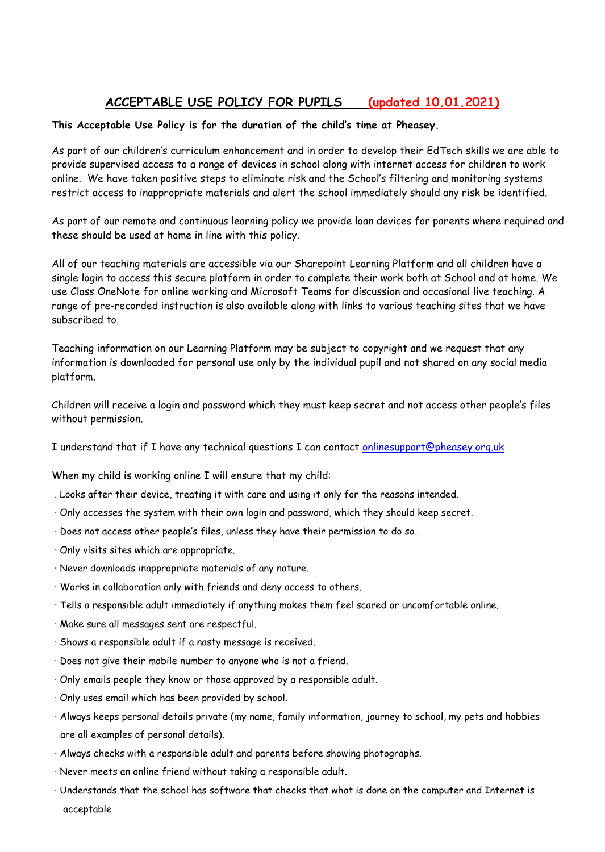#### **ACCEPTABLE USE POLICY FOR PUPILS (updated 10.01.2021)**

#### **This Acceptable Use Policy is for the duration of the child's time at Pheasey.**

As part of our children's curriculum enhancement and in order to develop their EdTech skills we are able to provide supervised access to a range of devices in school along with internet access for children to work online. We have taken positive steps to eliminate risk and the School's filtering and monitoring systems restrict access to inappropriate materials and alert the school immediately should any risk be identified.

As part of our remote and continuous learning policy we provide loan devices for parents where required and these should be used at home in line with this policy.

All of our teaching materials are accessible via our Sharepoint Learning Platform and all children have a single login to access this secure platform in order to complete their work both at School and at home. We use Class OneNote for online working and Microsoft Teams for discussion and occasional live teaching. A range of pre-recorded instruction is also available along with links to various teaching sites that we have subscribed to.

Teaching information on our Learning Platform may be subject to copyright and we request that any information is downloaded for personal use only by the individual pupil and not shared on any social media platform.

Children will receive a login and password which they must keep secret and not access other people's files without permission.

I understand that if I have any technical questions I can contact [onlinesupport@pheasey.org.uk](mailto:onlinesupport@pheasey.org.uk)

When my child is working online I will ensure that my child:

- . Looks after their device, treating it with care and using it only for the reasons intended.
- · Only accesses the system with their own login and password, which they should keep secret.
- · Does not access other people's files, unless they have their permission to do so.
- · Only visits sites which are appropriate.
- · Never downloads inappropriate materials of any nature.
- · Works in collaboration only with friends and deny access to others.
- · Tells a responsible adult immediately if anything makes them feel scared or uncomfortable online.
- · Make sure all messages sent are respectful.
- · Shows a responsible adult if a nasty message is received.
- · Does not give their mobile number to anyone who is not a friend.
- · Only emails people they know or those approved by a responsible adult.
- · Only uses email which has been provided by school.
- · Always keeps personal details private (my name, family information, journey to school, my pets and hobbies are all examples of personal details).
- · Always checks with a responsible adult and parents before showing photographs.
- · Never meets an online friend without taking a responsible adult.
- · Understands that the school has software that checks that what is done on the computer and Internet is acceptable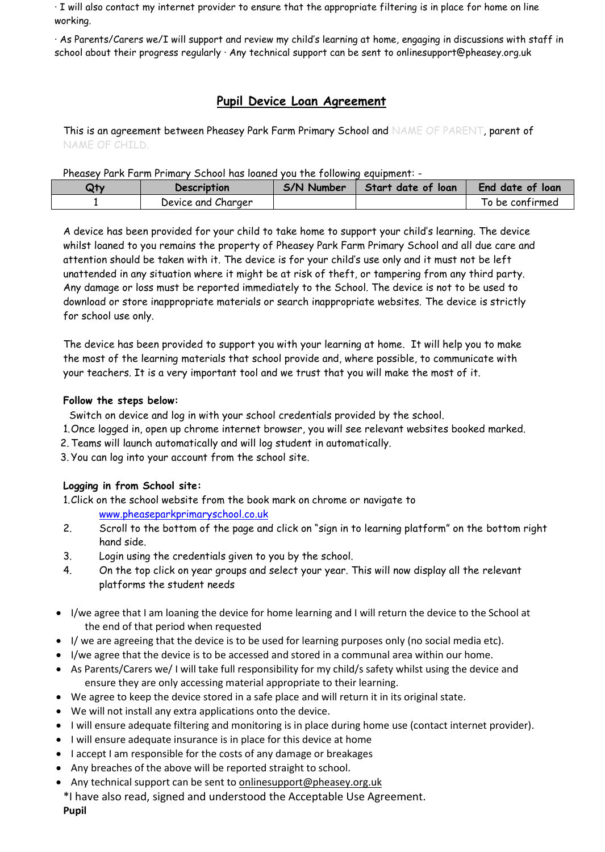· I will also contact my internet provider to ensure that the appropriate filtering is in place for home on line working.

· As Parents/Carers we/I will support and review my child's learning at home, engaging in discussions with staff in school about their progress regularly · Any technical support can be sent to onlinesupport@pheasey.org.uk

#### **Pupil Device Loan Agreement**

This is an agreement between Pheasey Park Farm Primary School and NAME OF PARENT, parent of NAME OF CHILD.

Pheasey Park Farm Primary School has loaned you the following equipment: -

| Otv | Description        | S/N Number | Start date of loan | <b>End date of loan</b> |
|-----|--------------------|------------|--------------------|-------------------------|
|     | Device and Charger |            |                    | To be confirmed         |

A device has been provided for your child to take home to support your child's learning. The device whilst loaned to you remains the property of Pheasey Park Farm Primary School and all due care and attention should be taken with it. The device is for your child's use only and it must not be left unattended in any situation where it might be at risk of theft, or tampering from any third party. Any damage or loss must be reported immediately to the School. The device is not to be used to download or store inappropriate materials or search inappropriate websites. The device is strictly for school use only.

The device has been provided to support you with your learning at home. It will help you to make the most of the learning materials that school provide and, where possible, to communicate with your teachers. It is a very important tool and we trust that you will make the most of it.

#### **Follow the steps below:**

Switch on device and log in with your school credentials provided by the school.

- 1.Once logged in, open up chrome internet browser, you will see relevant websites booked marked.
- 2. Teams will launch automatically and will log student in automatically.
- 3. You can log into your account from the school site.

#### **Logging in from School site:**

1.Click on the school website from the book mark on chrome or navigate to

[www.pheaseparkprimaryschool.co.uk](http://www.pheaseparkprimaryschool.co.uk/)

- 2. Scroll to the bottom of the page and click on "sign in to learning platform" on the bottom right hand side.
- 3. Login using the credentials given to you by the school.
- 4. On the top click on year groups and select your year. This will now display all the relevant platforms the student needs
- I/we agree that I am loaning the device for home learning and I will return the device to the School at the end of that period when requested
- I/ we are agreeing that the device is to be used for learning purposes only (no social media etc).
- I/we agree that the device is to be accessed and stored in a communal area within our home.
- As Parents/Carers we/ I will take full responsibility for my child/s safety whilst using the device and ensure they are only accessing material appropriate to their learning.
- We agree to keep the device stored in a safe place and will return it in its original state.
- We will not install any extra applications onto the device.
- I will ensure adequate filtering and monitoring is in place during home use (contact internet provider).
- I will ensure adequate insurance is in place for this device at home
- I accept I am responsible for the costs of any damage or breakages
- Any breaches of the above will be reported straight to school.
- Any technical support can be sent t[o onlinesupport@pheasey.org.uk](mailto:onlinesupport@pheasey.org.uk)
- \*I have also read, signed and understood the Acceptable Use Agreement.

**Pupil**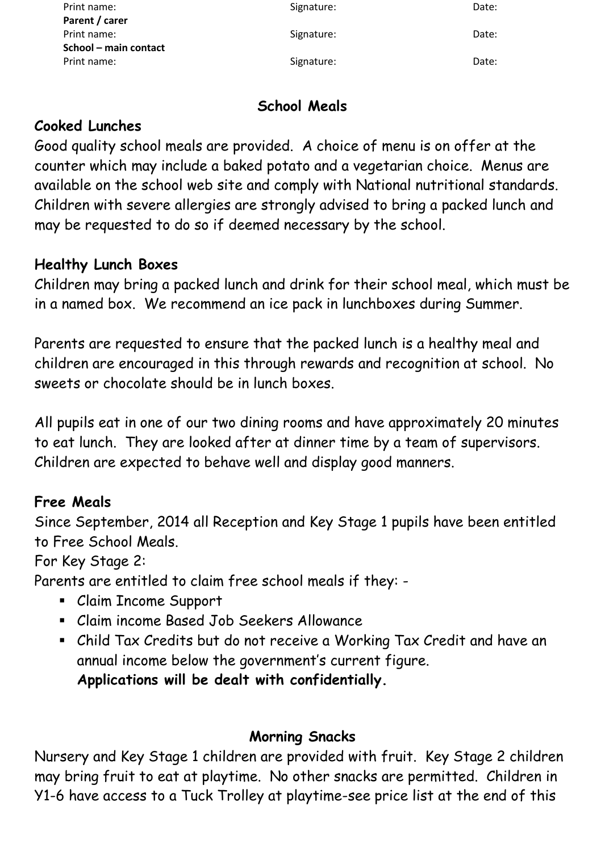| Print name:           | Signature: | Date: |
|-----------------------|------------|-------|
| Parent / carer        |            |       |
| Print name:           | Signature: | Date: |
| School – main contact |            |       |
| Print name:           | Signature: | Date: |

## **School Meals**

#### **Cooked Lunches**

Good quality school meals are provided. A choice of menu is on offer at the counter which may include a baked potato and a vegetarian choice. Menus are available on the school web site and comply with National nutritional standards. Children with severe allergies are strongly advised to bring a packed lunch and may be requested to do so if deemed necessary by the school.

#### **Healthy Lunch Boxes**

Children may bring a packed lunch and drink for their school meal, which must be in a named box. We recommend an ice pack in lunchboxes during Summer.

Parents are requested to ensure that the packed lunch is a healthy meal and children are encouraged in this through rewards and recognition at school. No sweets or chocolate should be in lunch boxes.

All pupils eat in one of our two dining rooms and have approximately 20 minutes to eat lunch. They are looked after at dinner time by a team of supervisors. Children are expected to behave well and display good manners.

## **Free Meals**

Since September, 2014 all Reception and Key Stage 1 pupils have been entitled to Free School Meals.

For Key Stage 2:

Parents are entitled to claim free school meals if they: -

- Claim Income Support
- Claim income Based Job Seekers Allowance
- Child Tax Credits but do not receive a Working Tax Credit and have an annual income below the government's current figure. **Applications will be dealt with confidentially.**

#### **Morning Snacks**

Nursery and Key Stage 1 children are provided with fruit. Key Stage 2 children may bring fruit to eat at playtime. No other snacks are permitted. Children in Y1-6 have access to a Tuck Trolley at playtime-see price list at the end of this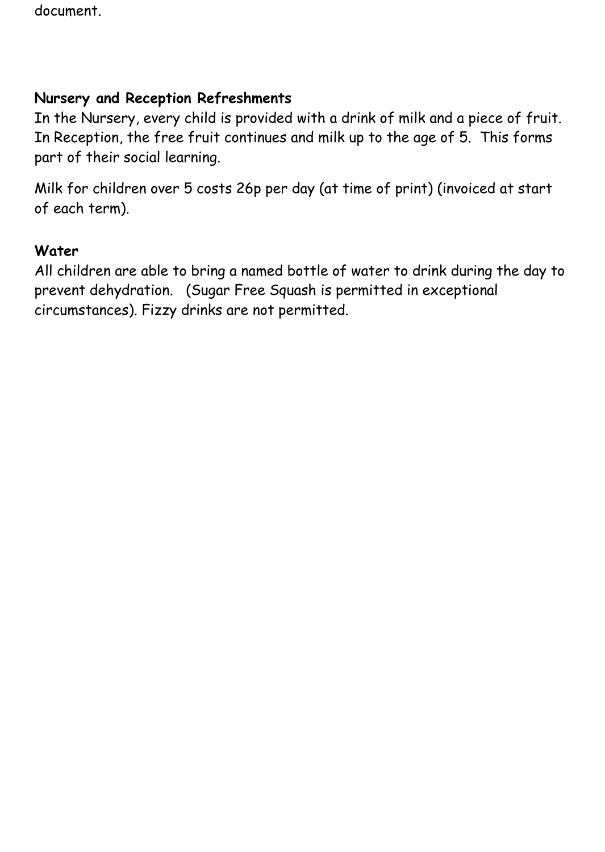document.

## **Nursery and Reception Refreshments**

In the Nursery, every child is provided with a drink of milk and a piece of fruit. In Reception, the free fruit continues and milk up to the age of 5. This forms part of their social learning.

Milk for children over 5 costs 26p per day (at time of print) (invoiced at start of each term).

#### **Water**

All children are able to bring a named bottle of water to drink during the day to prevent dehydration. (Sugar Free Squash is permitted in exceptional circumstances). Fizzy drinks are not permitted.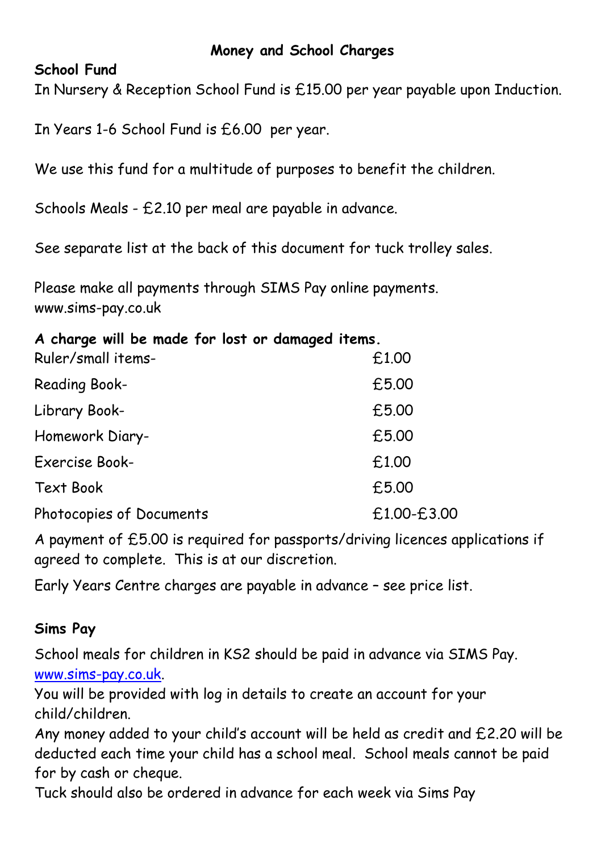#### **Money and School Charges**

#### **School Fund**

In Nursery & Reception School Fund is £15.00 per year payable upon Induction.

In Years 1-6 School Fund is £6.00 per year.

We use this fund for a multitude of purposes to benefit the children.

Schools Meals - £2.10 per meal are payable in advance.

See separate list at the back of this document for tuck trolley sales.

Please make all payments through SIMS Pay online payments. www.sims-pay.co.uk

## **A charge will be made for lost or damaged items.**

| Ruler/small items-       | £1.00       |
|--------------------------|-------------|
| <b>Reading Book-</b>     | £5.00       |
| Library Book-            | £5.00       |
| Homework Diary-          | £5.00       |
| <b>Exercise Book-</b>    | £1.00       |
| <b>Text Book</b>         | £5.00       |
| Photocopies of Documents | £1.00-£3.00 |

A payment of £5.00 is required for passports/driving licences applications if agreed to complete. This is at our discretion.

Early Years Centre charges are payable in advance – see price list.

## **Sims Pay**

School meals for children in KS2 should be paid in advance via SIMS Pay. [www.sims-pay.co.uk.](http://www.sims-pay.co.uk/)

You will be provided with log in details to create an account for your child/children.

Any money added to your child's account will be held as credit and £2.20 will be deducted each time your child has a school meal. School meals cannot be paid for by cash or cheque.

Tuck should also be ordered in advance for each week via Sims Pay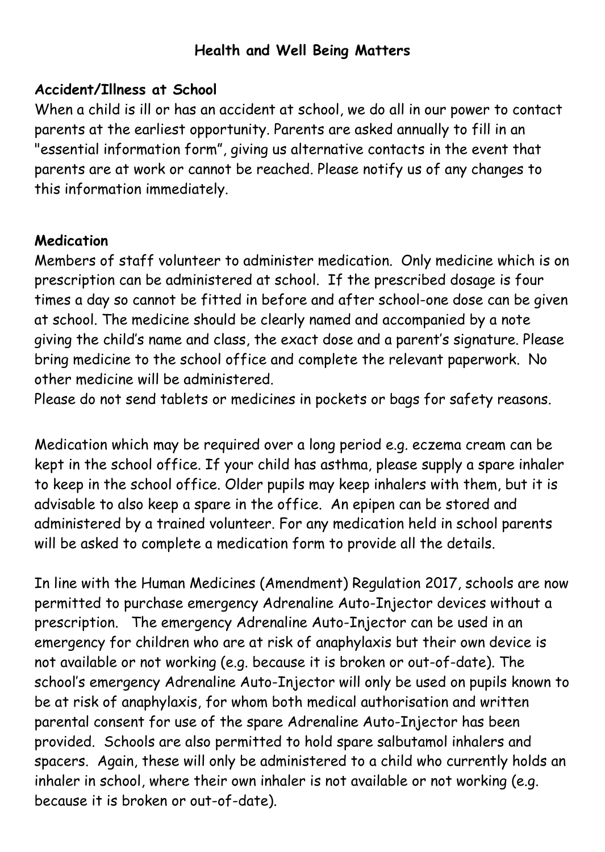## **Health and Well Being Matters**

#### **Accident/Illness at School**

When a child is ill or has an accident at school, we do all in our power to contact parents at the earliest opportunity. Parents are asked annually to fill in an "essential information form", giving us alternative contacts in the event that parents are at work or cannot be reached. Please notify us of any changes to this information immediately.

#### **Medication**

Members of staff volunteer to administer medication. Only medicine which is on prescription can be administered at school. If the prescribed dosage is four times a day so cannot be fitted in before and after school-one dose can be given at school. The medicine should be clearly named and accompanied by a note giving the child's name and class, the exact dose and a parent's signature. Please bring medicine to the school office and complete the relevant paperwork. No other medicine will be administered.

Please do not send tablets or medicines in pockets or bags for safety reasons.

Medication which may be required over a long period e.g. eczema cream can be kept in the school office. If your child has asthma, please supply a spare inhaler to keep in the school office. Older pupils may keep inhalers with them, but it is advisable to also keep a spare in the office. An epipen can be stored and administered by a trained volunteer. For any medication held in school parents will be asked to complete a medication form to provide all the details.

In line with the Human Medicines (Amendment) Regulation 2017, schools are now permitted to purchase emergency Adrenaline Auto-Injector devices without a prescription. The emergency Adrenaline Auto-Injector can be used in an emergency for children who are at risk of anaphylaxis but their own device is not available or not working (e.g. because it is broken or out-of-date). The school's emergency Adrenaline Auto-Injector will only be used on pupils known to be at risk of anaphylaxis, for whom both medical authorisation and written parental consent for use of the spare Adrenaline Auto-Injector has been provided. Schools are also permitted to hold spare salbutamol inhalers and spacers. Again, these will only be administered to a child who currently holds an inhaler in school, where their own inhaler is not available or not working (e.g. because it is broken or out-of-date).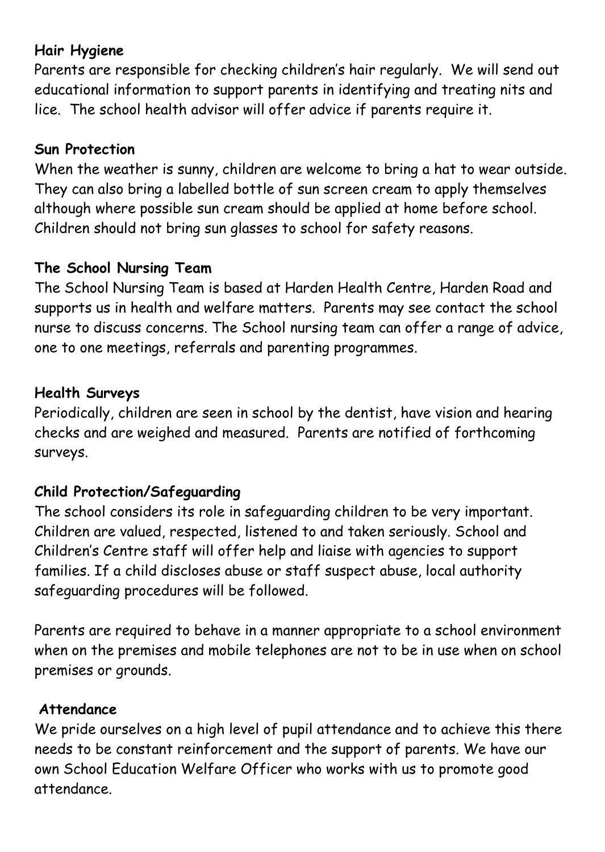# **Hair Hygiene**

Parents are responsible for checking children's hair regularly. We will send out educational information to support parents in identifying and treating nits and lice. The school health advisor will offer advice if parents require it.

#### **Sun Protection**

When the weather is sunny, children are welcome to bring a hat to wear outside. They can also bring a labelled bottle of sun screen cream to apply themselves although where possible sun cream should be applied at home before school. Children should not bring sun glasses to school for safety reasons.

## **The School Nursing Team**

The School Nursing Team is based at Harden Health Centre, Harden Road and supports us in health and welfare matters. Parents may see contact the school nurse to discuss concerns. The School nursing team can offer a range of advice, one to one meetings, referrals and parenting programmes.

#### **Health Surveys**

Periodically, children are seen in school by the dentist, have vision and hearing checks and are weighed and measured. Parents are notified of forthcoming surveys.

## **Child Protection/Safeguarding**

The school considers its role in safeguarding children to be very important. Children are valued, respected, listened to and taken seriously. School and Children's Centre staff will offer help and liaise with agencies to support families. If a child discloses abuse or staff suspect abuse, local authority safeguarding procedures will be followed.

Parents are required to behave in a manner appropriate to a school environment when on the premises and mobile telephones are not to be in use when on school premises or grounds.

#### **Attendance**

We pride ourselves on a high level of pupil attendance and to achieve this there needs to be constant reinforcement and the support of parents. We have our own School Education Welfare Officer who works with us to promote good attendance.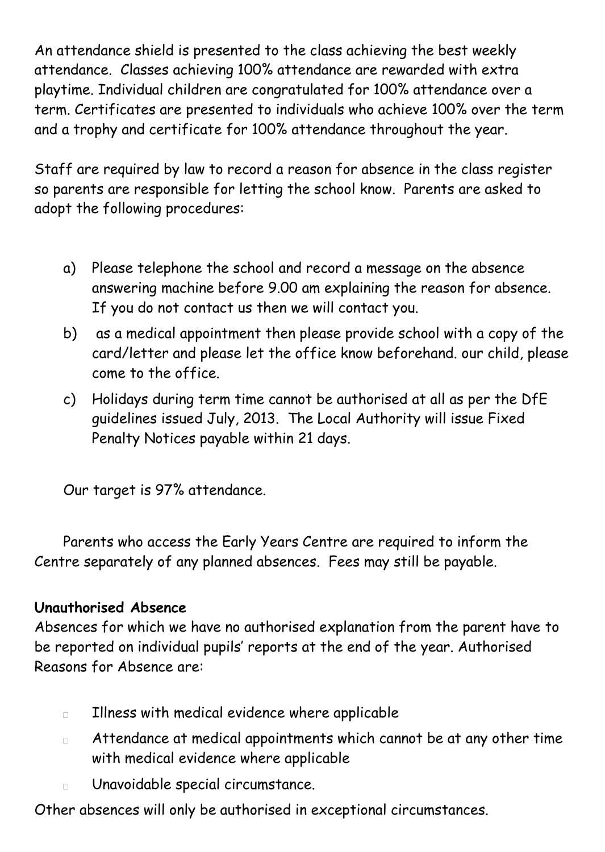An attendance shield is presented to the class achieving the best weekly attendance. Classes achieving 100% attendance are rewarded with extra playtime. Individual children are congratulated for 100% attendance over a term. Certificates are presented to individuals who achieve 100% over the term and a trophy and certificate for 100% attendance throughout the year.

Staff are required by law to record a reason for absence in the class register so parents are responsible for letting the school know. Parents are asked to adopt the following procedures:

- a) Please telephone the school and record a message on the absence answering machine before 9.00 am explaining the reason for absence. If you do not contact us then we will contact you.
- b) as a medical appointment then please provide school with a copy of the card/letter and please let the office know beforehand. our child, please come to the office.
- c) Holidays during term time cannot be authorised at all as per the DfE guidelines issued July, 2013. The Local Authority will issue Fixed Penalty Notices payable within 21 days.

Our target is 97% attendance.

Parents who access the Early Years Centre are required to inform the Centre separately of any planned absences. Fees may still be payable.

## **Unauthorised Absence**

Absences for which we have no authorised explanation from the parent have to be reported on individual pupils' reports at the end of the year. Authorised Reasons for Absence are:

- Illness with medical evidence where applicable  $\Box$
- Attendance at medical appointments which cannot be at any other time  $\Box$ with medical evidence where applicable
- Unavoidable special circumstance.  $\Box$

Other absences will only be authorised in exceptional circumstances.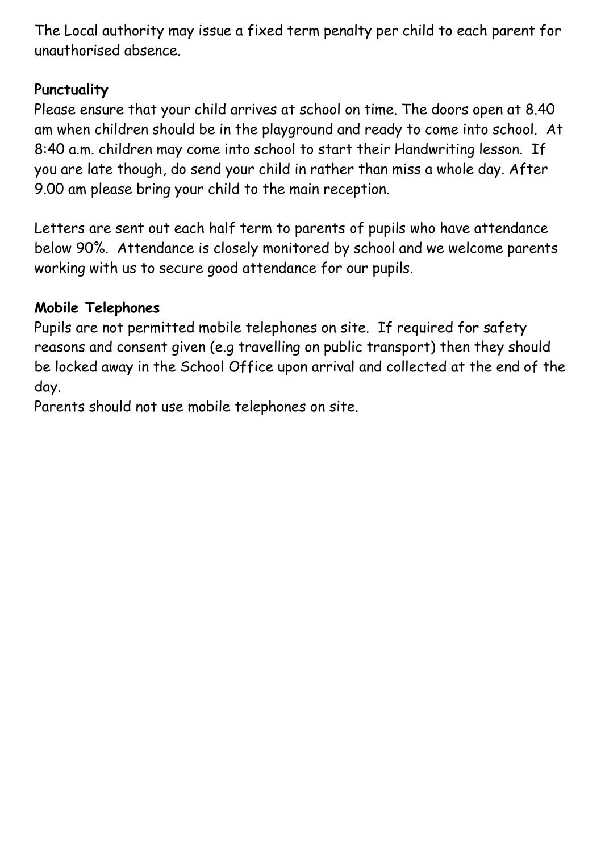The Local authority may issue a fixed term penalty per child to each parent for unauthorised absence.

## **Punctuality**

Please ensure that your child arrives at school on time. The doors open at 8.40 am when children should be in the playground and ready to come into school. At 8:40 a.m. children may come into school to start their Handwriting lesson. If you are late though, do send your child in rather than miss a whole day. After 9.00 am please bring your child to the main reception.

Letters are sent out each half term to parents of pupils who have attendance below 90%. Attendance is closely monitored by school and we welcome parents working with us to secure good attendance for our pupils.

# **Mobile Telephones**

Pupils are not permitted mobile telephones on site. If required for safety reasons and consent given (e.g travelling on public transport) then they should be locked away in the School Office upon arrival and collected at the end of the day.

Parents should not use mobile telephones on site.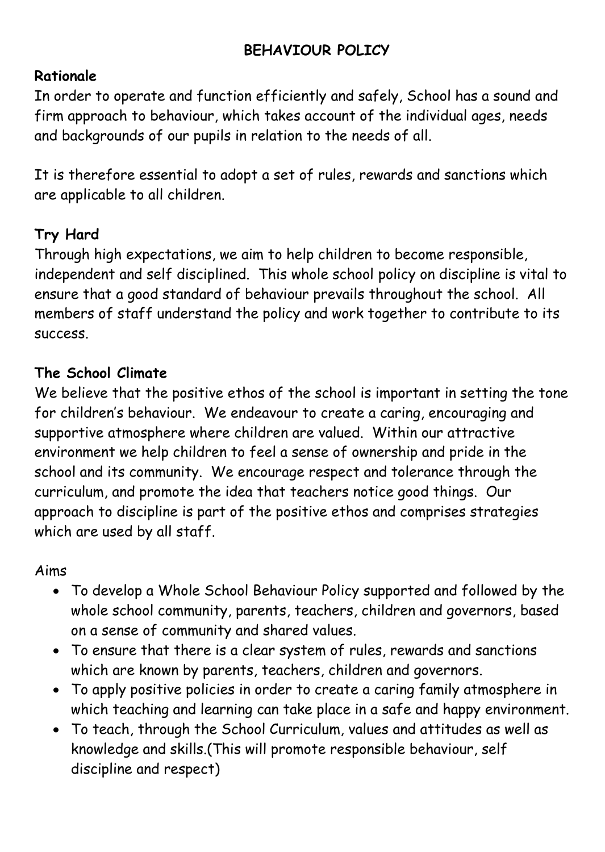# **BEHAVIOUR POLICY**

## **Rationale**

In order to operate and function efficiently and safely, School has a sound and firm approach to behaviour, which takes account of the individual ages, needs and backgrounds of our pupils in relation to the needs of all.

It is therefore essential to adopt a set of rules, rewards and sanctions which are applicable to all children.

# **Try Hard**

Through high expectations, we aim to help children to become responsible, independent and self disciplined. This whole school policy on discipline is vital to ensure that a good standard of behaviour prevails throughout the school. All members of staff understand the policy and work together to contribute to its success.

#### **The School Climate**

We believe that the positive ethos of the school is important in setting the tone for children's behaviour. We endeavour to create a caring, encouraging and supportive atmosphere where children are valued. Within our attractive environment we help children to feel a sense of ownership and pride in the school and its community. We encourage respect and tolerance through the curriculum, and promote the idea that teachers notice good things. Our approach to discipline is part of the positive ethos and comprises strategies which are used by all staff.

#### Aims

- To develop a Whole School Behaviour Policy supported and followed by the whole school community, parents, teachers, children and governors, based on a sense of community and shared values.
- To ensure that there is a clear system of rules, rewards and sanctions which are known by parents, teachers, children and governors.
- To apply positive policies in order to create a caring family atmosphere in which teaching and learning can take place in a safe and happy environment.
- To teach, through the School Curriculum, values and attitudes as well as knowledge and skills.(This will promote responsible behaviour, self discipline and respect)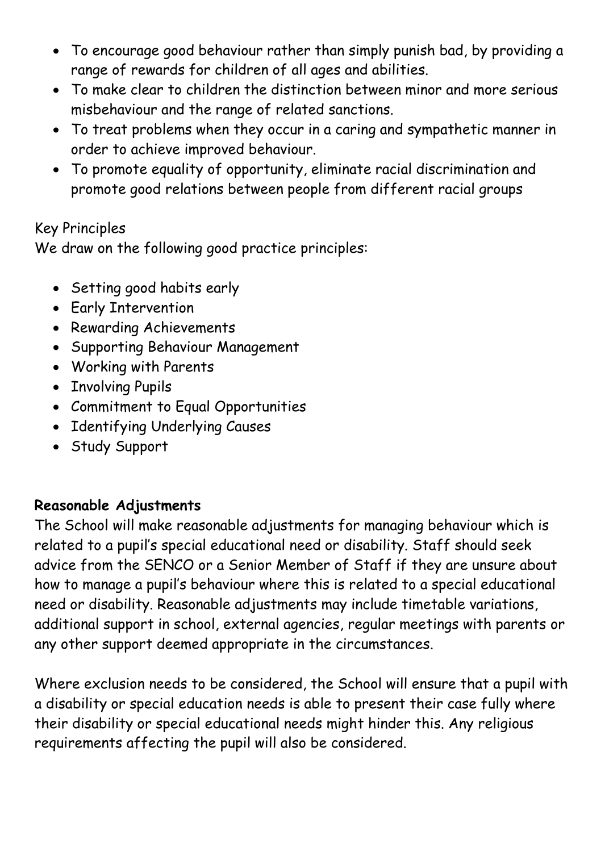- To encourage good behaviour rather than simply punish bad, by providing a range of rewards for children of all ages and abilities.
- To make clear to children the distinction between minor and more serious misbehaviour and the range of related sanctions.
- To treat problems when they occur in a caring and sympathetic manner in order to achieve improved behaviour.
- To promote equality of opportunity, eliminate racial discrimination and promote good relations between people from different racial groups

# Key Principles

We draw on the following good practice principles:

- Setting good habits early
- Early Intervention
- Rewarding Achievements
- Supporting Behaviour Management
- Working with Parents
- Involving Pupils
- Commitment to Equal Opportunities
- Identifying Underlying Causes
- Study Support

# **Reasonable Adjustments**

The School will make reasonable adjustments for managing behaviour which is related to a pupil's special educational need or disability. Staff should seek advice from the SENCO or a Senior Member of Staff if they are unsure about how to manage a pupil's behaviour where this is related to a special educational need or disability. Reasonable adjustments may include timetable variations, additional support in school, external agencies, regular meetings with parents or any other support deemed appropriate in the circumstances.

Where exclusion needs to be considered, the School will ensure that a pupil with a disability or special education needs is able to present their case fully where their disability or special educational needs might hinder this. Any religious requirements affecting the pupil will also be considered.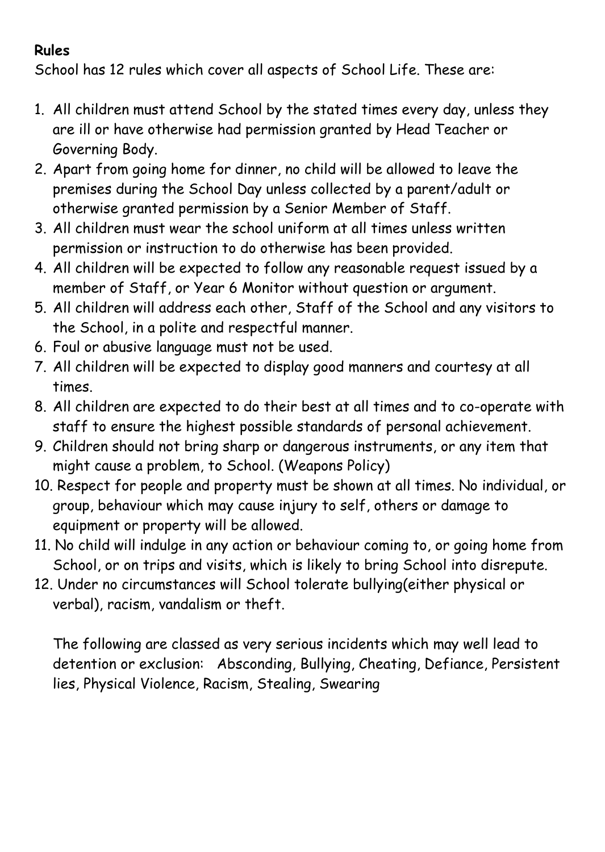# **Rules**

School has 12 rules which cover all aspects of School Life. These are:

- 1. All children must attend School by the stated times every day, unless they are ill or have otherwise had permission granted by Head Teacher or Governing Body.
- 2. Apart from going home for dinner, no child will be allowed to leave the premises during the School Day unless collected by a parent/adult or otherwise granted permission by a Senior Member of Staff.
- 3. All children must wear the school uniform at all times unless written permission or instruction to do otherwise has been provided.
- 4. All children will be expected to follow any reasonable request issued by a member of Staff, or Year 6 Monitor without question or argument.
- 5. All children will address each other, Staff of the School and any visitors to the School, in a polite and respectful manner.
- 6. Foul or abusive language must not be used.
- 7. All children will be expected to display good manners and courtesy at all times.
- 8. All children are expected to do their best at all times and to co-operate with staff to ensure the highest possible standards of personal achievement.
- 9. Children should not bring sharp or dangerous instruments, or any item that might cause a problem, to School. (Weapons Policy)
- 10. Respect for people and property must be shown at all times. No individual, or group, behaviour which may cause injury to self, others or damage to equipment or property will be allowed.
- 11. No child will indulge in any action or behaviour coming to, or going home from School, or on trips and visits, which is likely to bring School into disrepute.
- 12. Under no circumstances will School tolerate bullying(either physical or verbal), racism, vandalism or theft.

The following are classed as very serious incidents which may well lead to detention or exclusion: Absconding, Bullying, Cheating, Defiance, Persistent lies, Physical Violence, Racism, Stealing, Swearing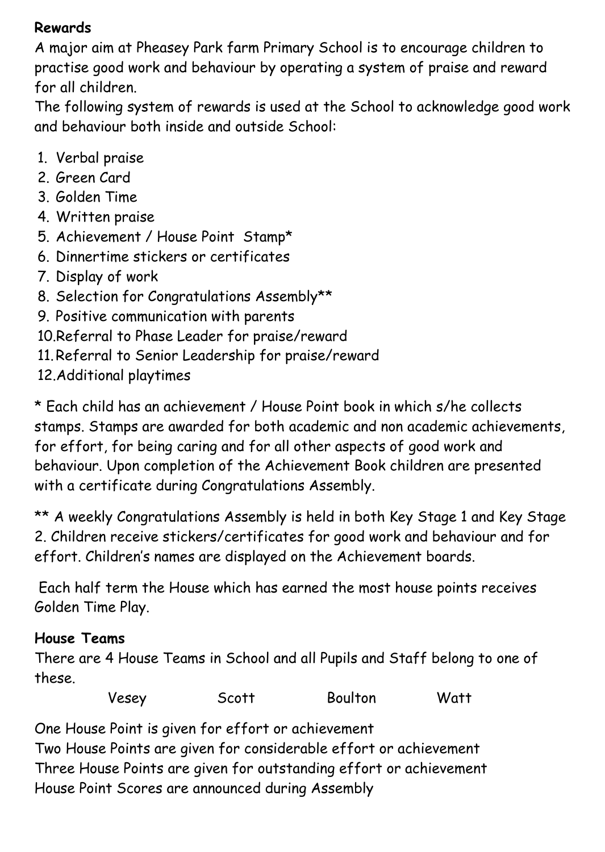## **Rewards**

A major aim at Pheasey Park farm Primary School is to encourage children to practise good work and behaviour by operating a system of praise and reward for all children.

The following system of rewards is used at the School to acknowledge good work and behaviour both inside and outside School:

- 1. Verbal praise
- 2. Green Card
- 3. Golden Time
- 4. Written praise
- 5. Achievement / House Point Stamp\*
- 6. Dinnertime stickers or certificates
- 7. Display of work
- 8. Selection for Congratulations Assembly\*\*
- 9. Positive communication with parents
- 10.Referral to Phase Leader for praise/reward
- 11.Referral to Senior Leadership for praise/reward
- 12.Additional playtimes

\* Each child has an achievement / House Point book in which s/he collects stamps. Stamps are awarded for both academic and non academic achievements, for effort, for being caring and for all other aspects of good work and behaviour. Upon completion of the Achievement Book children are presented with a certificate during Congratulations Assembly.

\*\* A weekly Congratulations Assembly is held in both Key Stage 1 and Key Stage 2. Children receive stickers/certificates for good work and behaviour and for effort. Children's names are displayed on the Achievement boards.

Each half term the House which has earned the most house points receives Golden Time Play.

# **House Teams**

There are 4 House Teams in School and all Pupils and Staff belong to one of these.

| Vesey | Scott | Boulton | Watt |
|-------|-------|---------|------|
|       |       |         |      |

One House Point is given for effort or achievement

Two House Points are given for considerable effort or achievement Three House Points are given for outstanding effort or achievement House Point Scores are announced during Assembly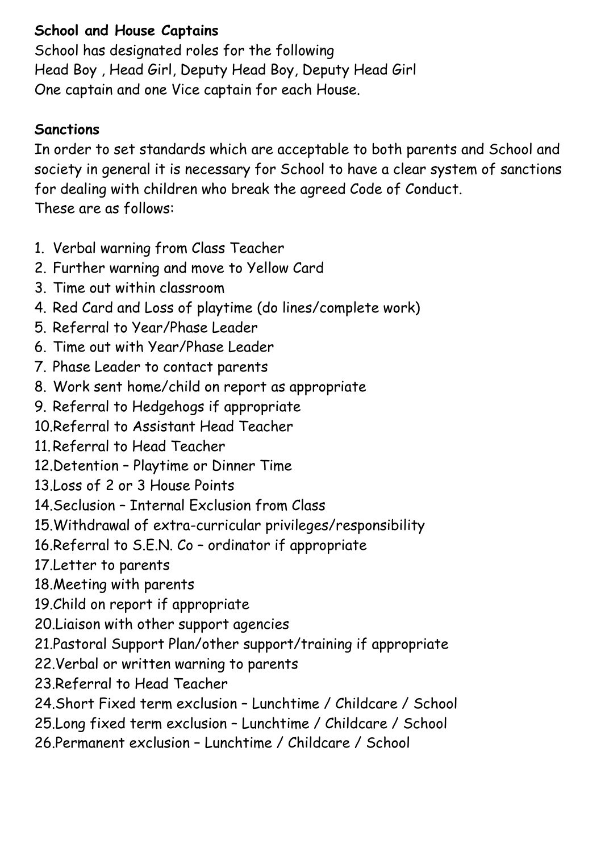# **School and House Captains**

School has designated roles for the following Head Boy , Head Girl, Deputy Head Boy, Deputy Head Girl One captain and one Vice captain for each House.

#### **Sanctions**

In order to set standards which are acceptable to both parents and School and society in general it is necessary for School to have a clear system of sanctions for dealing with children who break the agreed Code of Conduct. These are as follows:

- 1. Verbal warning from Class Teacher
- 2. Further warning and move to Yellow Card
- 3. Time out within classroom
- 4. Red Card and Loss of playtime (do lines/complete work)
- 5. Referral to Year/Phase Leader
- 6. Time out with Year/Phase Leader
- 7. Phase Leader to contact parents
- 8. Work sent home/child on report as appropriate
- 9. Referral to Hedgehogs if appropriate
- 10.Referral to Assistant Head Teacher
- 11.Referral to Head Teacher
- 12.Detention Playtime or Dinner Time
- 13.Loss of 2 or 3 House Points
- 14.Seclusion Internal Exclusion from Class
- 15.Withdrawal of extra-curricular privileges/responsibility
- 16.Referral to S.E.N. Co ordinator if appropriate
- 17.Letter to parents
- 18.Meeting with parents
- 19.Child on report if appropriate
- 20.Liaison with other support agencies
- 21.Pastoral Support Plan/other support/training if appropriate
- 22.Verbal or written warning to parents
- 23.Referral to Head Teacher
- 24.Short Fixed term exclusion Lunchtime / Childcare / School
- 25.Long fixed term exclusion Lunchtime / Childcare / School
- 26.Permanent exclusion Lunchtime / Childcare / School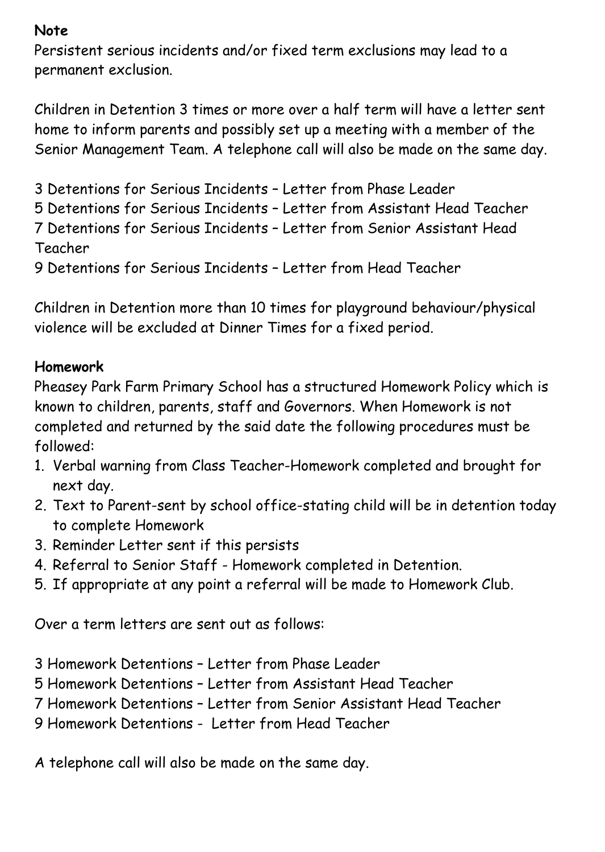## **Note**

Persistent serious incidents and/or fixed term exclusions may lead to a permanent exclusion.

Children in Detention 3 times or more over a half term will have a letter sent home to inform parents and possibly set up a meeting with a member of the Senior Management Team. A telephone call will also be made on the same day.

3 Detentions for Serious Incidents – Letter from Phase Leader 5 Detentions for Serious Incidents – Letter from Assistant Head Teacher 7 Detentions for Serious Incidents – Letter from Senior Assistant Head Teacher 9 Detentions for Serious Incidents – Letter from Head Teacher

Children in Detention more than 10 times for playground behaviour/physical violence will be excluded at Dinner Times for a fixed period.

# **Homework**

Pheasey Park Farm Primary School has a structured Homework Policy which is known to children, parents, staff and Governors. When Homework is not completed and returned by the said date the following procedures must be followed:

- 1. Verbal warning from Class Teacher-Homework completed and brought for next day.
- 2. Text to Parent-sent by school office-stating child will be in detention today to complete Homework
- 3. Reminder Letter sent if this persists
- 4. Referral to Senior Staff Homework completed in Detention.
- 5. If appropriate at any point a referral will be made to Homework Club.

Over a term letters are sent out as follows:

- 3 Homework Detentions Letter from Phase Leader
- 5 Homework Detentions Letter from Assistant Head Teacher
- 7 Homework Detentions Letter from Senior Assistant Head Teacher
- 9 Homework Detentions Letter from Head Teacher

A telephone call will also be made on the same day.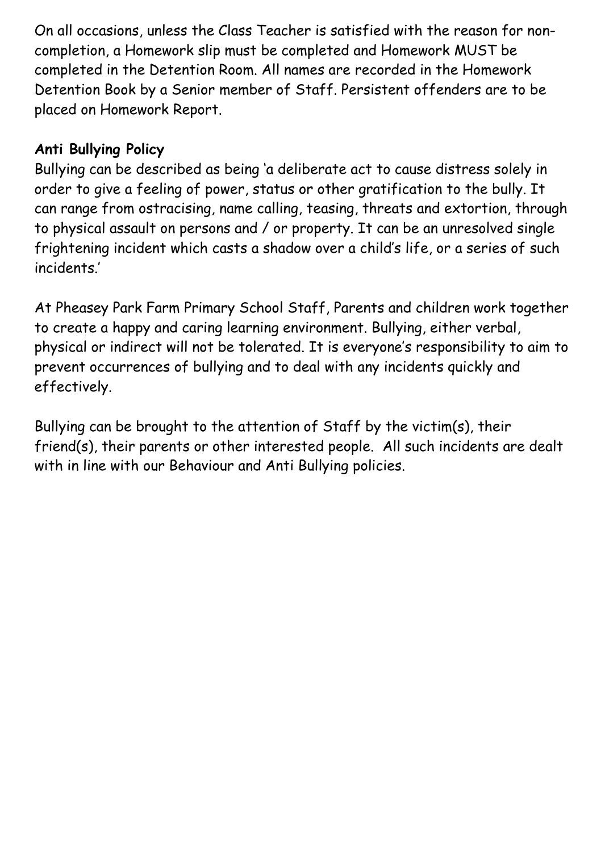On all occasions, unless the Class Teacher is satisfied with the reason for noncompletion, a Homework slip must be completed and Homework MUST be completed in the Detention Room. All names are recorded in the Homework Detention Book by a Senior member of Staff. Persistent offenders are to be placed on Homework Report.

## **Anti Bullying Policy**

Bullying can be described as being 'a deliberate act to cause distress solely in order to give a feeling of power, status or other gratification to the bully. It can range from ostracising, name calling, teasing, threats and extortion, through to physical assault on persons and / or property. It can be an unresolved single frightening incident which casts a shadow over a child's life, or a series of such incidents.'

At Pheasey Park Farm Primary School Staff, Parents and children work together to create a happy and caring learning environment. Bullying, either verbal, physical or indirect will not be tolerated. It is everyone's responsibility to aim to prevent occurrences of bullying and to deal with any incidents quickly and effectively.

Bullying can be brought to the attention of Staff by the victim(s), their friend(s), their parents or other interested people. All such incidents are dealt with in line with our Behaviour and Anti Bullying policies.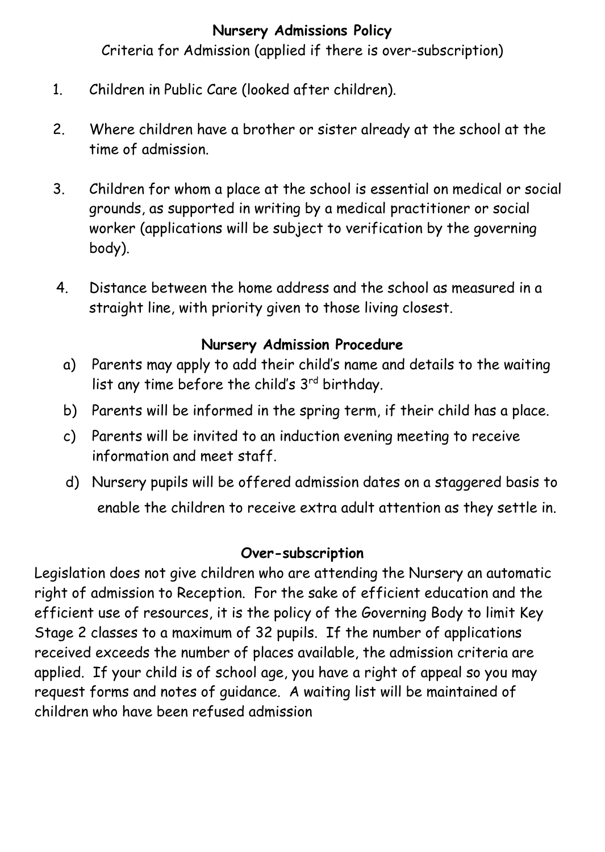## **Nursery Admissions Policy**

Criteria for Admission (applied if there is over-subscription)

- 1. Children in Public Care (looked after children).
- 2. Where children have a brother or sister already at the school at the time of admission.
- 3. Children for whom a place at the school is essential on medical or social grounds, as supported in writing by a medical practitioner or social worker (applications will be subject to verification by the governing body).
- 4. Distance between the home address and the school as measured in a straight line, with priority given to those living closest.

# **Nursery Admission Procedure**

- a) Parents may apply to add their child's name and details to the waiting list any time before the child's 3rd birthday.
- b) Parents will be informed in the spring term, if their child has a place.
- c) Parents will be invited to an induction evening meeting to receive information and meet staff.
- d) Nursery pupils will be offered admission dates on a staggered basis to enable the children to receive extra adult attention as they settle in.

# **Over-subscription**

Legislation does not give children who are attending the Nursery an automatic right of admission to Reception. For the sake of efficient education and the efficient use of resources, it is the policy of the Governing Body to limit Key Stage 2 classes to a maximum of 32 pupils. If the number of applications received exceeds the number of places available, the admission criteria are applied. If your child is of school age, you have a right of appeal so you may request forms and notes of guidance. A waiting list will be maintained of children who have been refused admission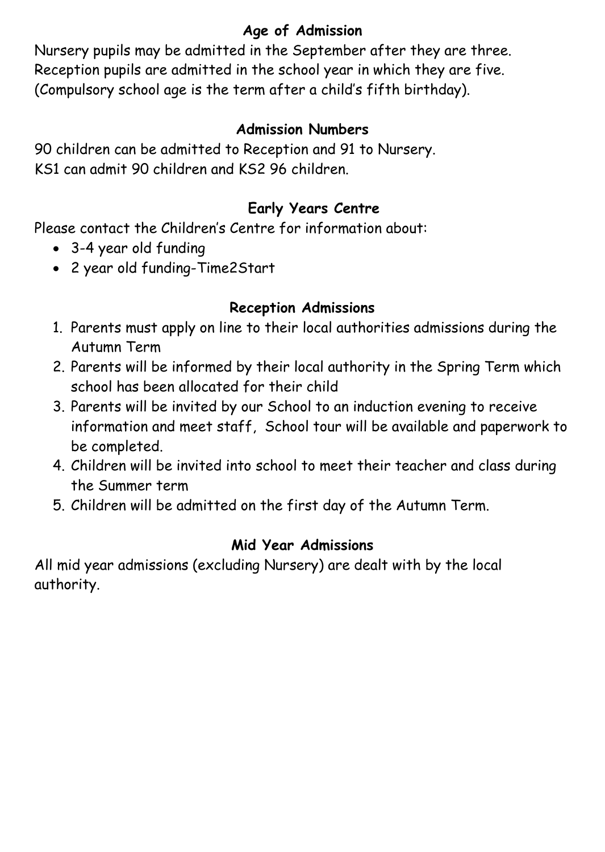# **Age of Admission**

Nursery pupils may be admitted in the September after they are three. Reception pupils are admitted in the school year in which they are five. (Compulsory school age is the term after a child's fifth birthday).

## **Admission Numbers**

90 children can be admitted to Reception and 91 to Nursery. KS1 can admit 90 children and KS2 96 children.

# **Early Years Centre**

Please contact the Children's Centre for information about:

- 3-4 year old funding
- 2 year old funding-Time2Start

# **Reception Admissions**

- 1. Parents must apply on line to their local authorities admissions during the Autumn Term
- 2. Parents will be informed by their local authority in the Spring Term which school has been allocated for their child
- 3. Parents will be invited by our School to an induction evening to receive information and meet staff, School tour will be available and paperwork to be completed.
- 4. Children will be invited into school to meet their teacher and class during the Summer term
- 5. Children will be admitted on the first day of the Autumn Term.

## **Mid Year Admissions**

All mid year admissions (excluding Nursery) are dealt with by the local authority.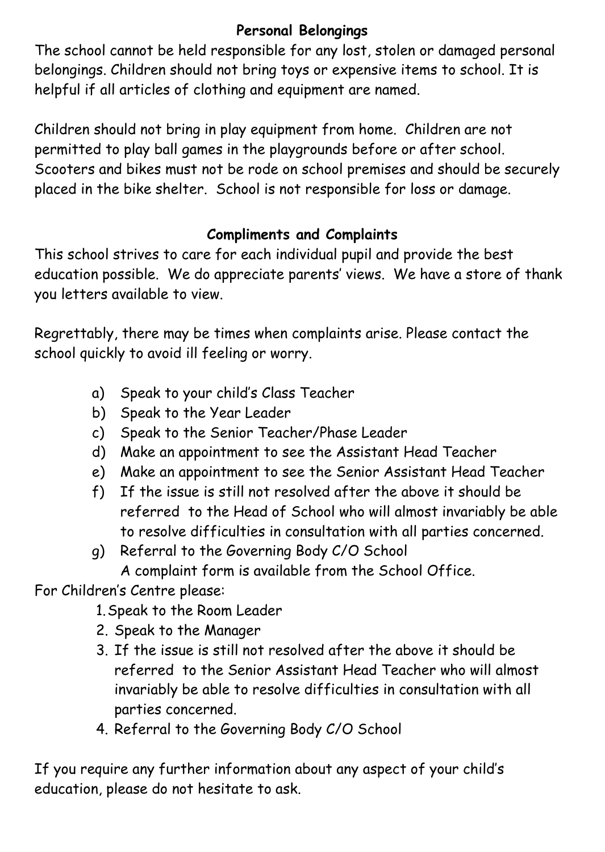# **Personal Belongings**

The school cannot be held responsible for any lost, stolen or damaged personal belongings. Children should not bring toys or expensive items to school. It is helpful if all articles of clothing and equipment are named.

Children should not bring in play equipment from home. Children are not permitted to play ball games in the playgrounds before or after school. Scooters and bikes must not be rode on school premises and should be securely placed in the bike shelter. School is not responsible for loss or damage.

# **Compliments and Complaints**

This school strives to care for each individual pupil and provide the best education possible. We do appreciate parents' views. We have a store of thank you letters available to view.

Regrettably, there may be times when complaints arise. Please contact the school quickly to avoid ill feeling or worry.

- a) Speak to your child's Class Teacher
- b) Speak to the Year Leader
- c) Speak to the Senior Teacher/Phase Leader
- d) Make an appointment to see the Assistant Head Teacher
- e) Make an appointment to see the Senior Assistant Head Teacher
- f) If the issue is still not resolved after the above it should be referred to the Head of School who will almost invariably be able to resolve difficulties in consultation with all parties concerned.
- g) Referral to the Governing Body C/O School A complaint form is available from the School Office.

For Children's Centre please:

- 1.Speak to the Room Leader
- 2. Speak to the Manager
- 3. If the issue is still not resolved after the above it should be referred to the Senior Assistant Head Teacher who will almost invariably be able to resolve difficulties in consultation with all parties concerned.
- 4. Referral to the Governing Body C/O School

If you require any further information about any aspect of your child's education, please do not hesitate to ask.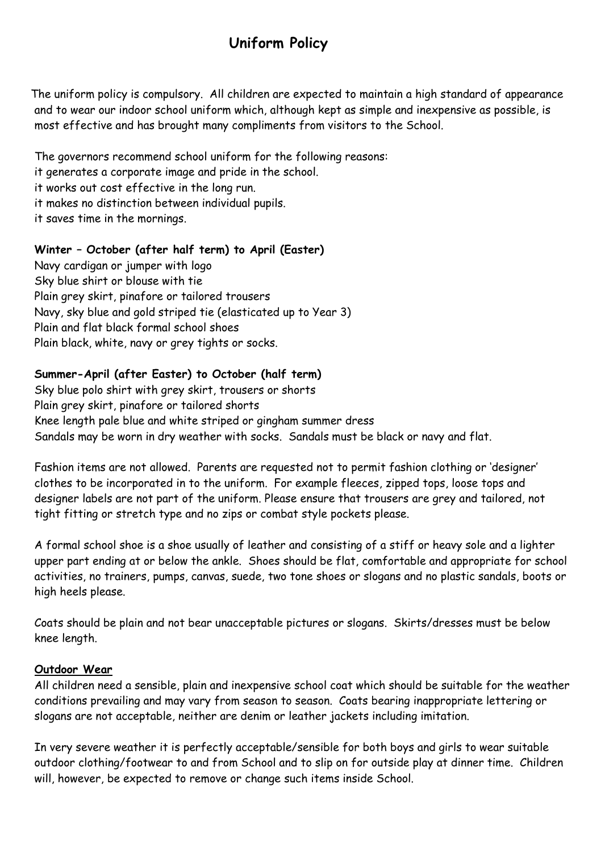# **Uniform Policy**

The uniform policy is compulsory. All children are expected to maintain a high standard of appearance and to wear our indoor school uniform which, although kept as simple and inexpensive as possible, is most effective and has brought many compliments from visitors to the School.

The governors recommend school uniform for the following reasons:

it generates a corporate image and pride in the school.

it works out cost effective in the long run.

it makes no distinction between individual pupils.

it saves time in the mornings.

#### **Winter – October (after half term) to April (Easter)**

Navy cardigan or jumper with logo Sky blue shirt or blouse with tie Plain grey skirt, pinafore or tailored trousers Navy, sky blue and gold striped tie (elasticated up to Year 3) Plain and flat black formal school shoes Plain black, white, navy or grey tights or socks.

#### **Summer-April (after Easter) to October (half term)**

Sky blue polo shirt with grey skirt, trousers or shorts Plain grey skirt, pinafore or tailored shorts Knee length pale blue and white striped or gingham summer dress Sandals may be worn in dry weather with socks. Sandals must be black or navy and flat.

Fashion items are not allowed. Parents are requested not to permit fashion clothing or 'designer' clothes to be incorporated in to the uniform. For example fleeces, zipped tops, loose tops and designer labels are not part of the uniform. Please ensure that trousers are grey and tailored, not tight fitting or stretch type and no zips or combat style pockets please.

A formal school shoe is a shoe usually of leather and consisting of a stiff or heavy sole and a lighter upper part ending at or below the ankle. Shoes should be flat, comfortable and appropriate for school activities, no trainers, pumps, canvas, suede, two tone shoes or slogans and no plastic sandals, boots or high heels please.

Coats should be plain and not bear unacceptable pictures or slogans. Skirts/dresses must be below knee length.

#### **Outdoor Wear**

All children need a sensible, plain and inexpensive school coat which should be suitable for the weather conditions prevailing and may vary from season to season. Coats bearing inappropriate lettering or slogans are not acceptable, neither are denim or leather jackets including imitation.

In very severe weather it is perfectly acceptable/sensible for both boys and girls to wear suitable outdoor clothing/footwear to and from School and to slip on for outside play at dinner time. Children will, however, be expected to remove or change such items inside School.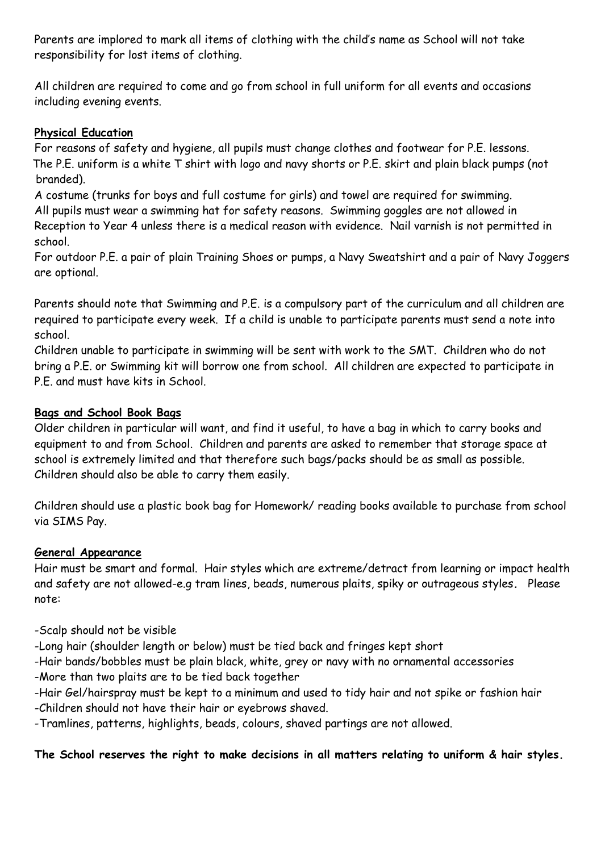Parents are implored to mark all items of clothing with the child's name as School will not take responsibility for lost items of clothing.

All children are required to come and go from school in full uniform for all events and occasions including evening events.

#### **Physical Education**

For reasons of safety and hygiene, all pupils must change clothes and footwear for P.E. lessons. The P.E. uniform is a white T shirt with logo and navy shorts or P.E. skirt and plain black pumps (not branded).

A costume (trunks for boys and full costume for girls) and towel are required for swimming. All pupils must wear a swimming hat for safety reasons. Swimming goggles are not allowed in Reception to Year 4 unless there is a medical reason with evidence. Nail varnish is not permitted in school.

For outdoor P.E. a pair of plain Training Shoes or pumps, a Navy Sweatshirt and a pair of Navy Joggers are optional.

Parents should note that Swimming and P.E. is a compulsory part of the curriculum and all children are required to participate every week. If a child is unable to participate parents must send a note into school.

Children unable to participate in swimming will be sent with work to the SMT. Children who do not bring a P.E. or Swimming kit will borrow one from school. All children are expected to participate in P.E. and must have kits in School.

#### **Bags and School Book Bags**

Older children in particular will want, and find it useful, to have a bag in which to carry books and equipment to and from School. Children and parents are asked to remember that storage space at school is extremely limited and that therefore such bags/packs should be as small as possible. Children should also be able to carry them easily.

Children should use a plastic book bag for Homework/ reading books available to purchase from school via SIMS Pay.

#### **General Appearance**

Hair must be smart and formal. Hair styles which are extreme/detract from learning or impact health and safety are not allowed-e.g tram lines, beads, numerous plaits, spiky or outrageous styles*.* Please note:

-Scalp should not be visible

-Long hair (shoulder length or below) must be tied back and fringes kept short

- -Hair bands/bobbles must be plain black, white, grey or navy with no ornamental accessories
- -More than two plaits are to be tied back together
- -Hair Gel/hairspray must be kept to a minimum and used to tidy hair and not spike or fashion hair -Children should not have their hair or eyebrows shaved.

-Tramlines, patterns, highlights, beads, colours, shaved partings are not allowed.

#### **The School reserves the right to make decisions in all matters relating to uniform & hair styles.**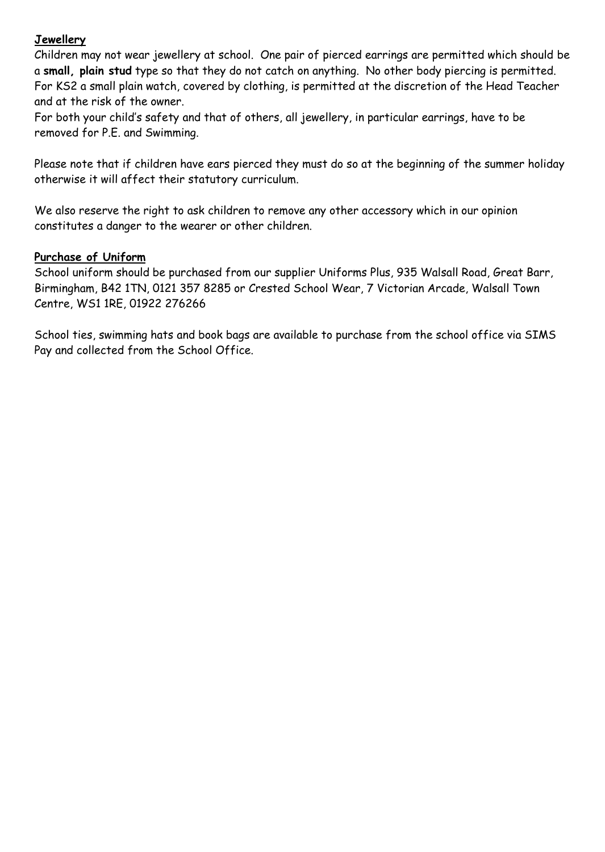#### **Jewellery**

Children may not wear jewellery at school. One pair of pierced earrings are permitted which should be a **small, plain stud** type so that they do not catch on anything. No other body piercing is permitted. For KS2 a small plain watch, covered by clothing, is permitted at the discretion of the Head Teacher and at the risk of the owner.

For both your child's safety and that of others, all jewellery, in particular earrings, have to be removed for P.E. and Swimming.

Please note that if children have ears pierced they must do so at the beginning of the summer holiday otherwise it will affect their statutory curriculum.

We also reserve the right to ask children to remove any other accessory which in our opinion constitutes a danger to the wearer or other children.

#### **Purchase of Uniform**

School uniform should be purchased from our supplier Uniforms Plus, 935 Walsall Road, Great Barr, Birmingham, B42 1TN, 0121 357 8285 or Crested School Wear, 7 Victorian Arcade, Walsall Town Centre, WS1 1RE, 01922 276266

School ties, swimming hats and book bags are available to purchase from the school office via SIMS Pay and collected from the School Office.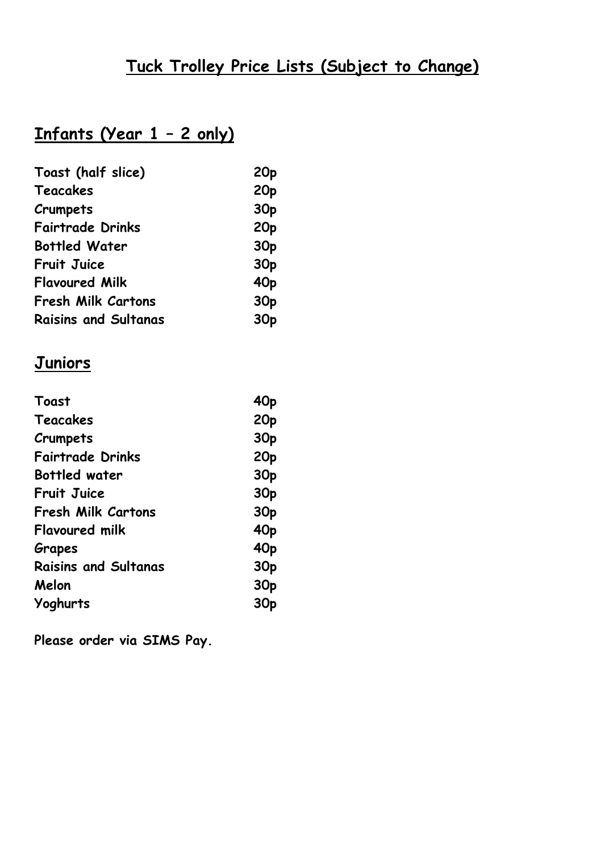# **Tuck Trolley Price Lists (Subject to Change)**

# **Infants (Year 1 – 2 only)**

| Toast (half slice)          | 20 <sub>p</sub> |
|-----------------------------|-----------------|
| Teacakes                    | 20 <sub>p</sub> |
| Crumpets                    | 30 <sub>p</sub> |
| <b>Fairtrade Drinks</b>     | 20 <sub>p</sub> |
| <b>Bottled Water</b>        | 30 <sub>p</sub> |
| <b>Fruit Juice</b>          | 30 <sub>p</sub> |
| <b>Flavoured Milk</b>       | 40 <sub>p</sub> |
| <b>Fresh Milk Cartons</b>   | 30 <sub>p</sub> |
| <b>Raisins and Sultanas</b> | 30 <sub>p</sub> |

# **Juniors**

| Toast                       | 40 <sub>p</sub> |
|-----------------------------|-----------------|
| Teacakes                    | 20 <sub>p</sub> |
| Crumpets                    | 30 <sub>p</sub> |
| <b>Fairtrade Drinks</b>     | 20 <sub>p</sub> |
| <b>Bottled water</b>        | 30 <sub>p</sub> |
| <b>Fruit Juice</b>          | 30 <sub>p</sub> |
| <b>Fresh Milk Cartons</b>   | 30 <sub>p</sub> |
| <b>Flavoured milk</b>       | 40 <sub>p</sub> |
| Grapes                      | 40 <sub>p</sub> |
| <b>Raisins and Sultanas</b> | 30 <sub>p</sub> |
| Melon                       | 30 <sub>p</sub> |
| Yoghurts                    | 30 <sub>p</sub> |

**Please order via SIMS Pay.**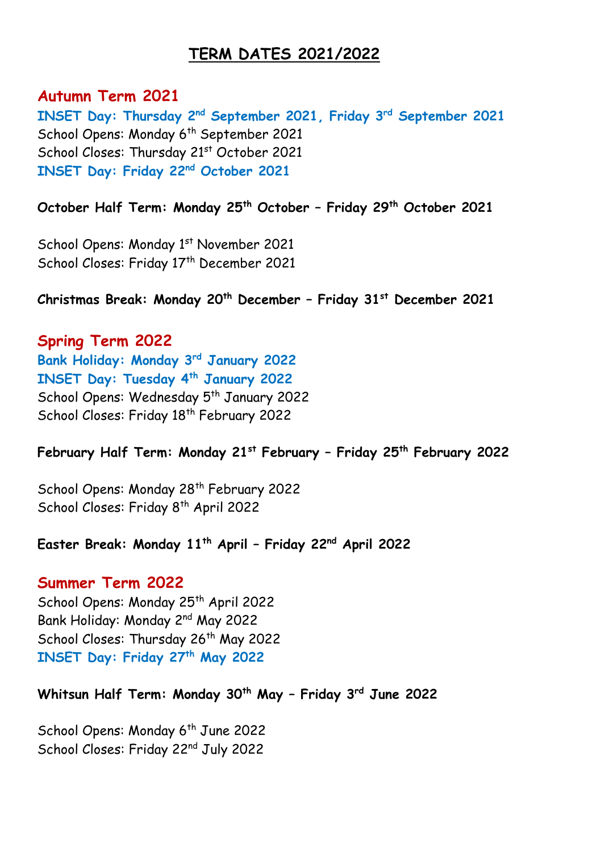## **TERM DATES 2021/2022**

**Autumn Term 2021 INSET Day: Thursday 2 nd September 2021, Friday 3 rd September 2021** School Opens: Monday 6<sup>th</sup> September 2021 School Closes: Thursday 21st October 2021 **INSET Day: Friday 22 nd October 2021**

**October Half Term: Monday 25 th October – Friday 29th October 2021**

School Opens: Monday 1<sup>st</sup> November 2021 School Closes: Friday 17th December 2021

**Christmas Break: Monday 20 th December – Friday 31 st December 2021**

**Spring Term 2022 Bank Holiday: Monday 3 rd January 2022 INSET Day: Tuesday 4 th January 2022** School Opens: Wednesday 5<sup>th</sup> January 2022 School Closes: Friday 18<sup>th</sup> February 2022

**February Half Term: Monday 21st February – Friday 25th February 2022**

School Opens: Monday 28<sup>th</sup> February 2022 School Closes: Friday 8<sup>th</sup> April 2022

**Easter Break: Monday 11th April – Friday 22nd April 2022**

#### **Summer Term 2022**

School Opens: Monday 25<sup>th</sup> April 2022 Bank Holiday: Monday 2<sup>nd</sup> May 2022 School Closes: Thursday 26<sup>th</sup> May 2022 **INSET Day: Friday 27th May 2022**

**Whitsun Half Term: Monday 30 th May – Friday 3 rd June 2022**

School Opens: Monday 6<sup>th</sup> June 2022 School Closes: Friday 22nd July 2022